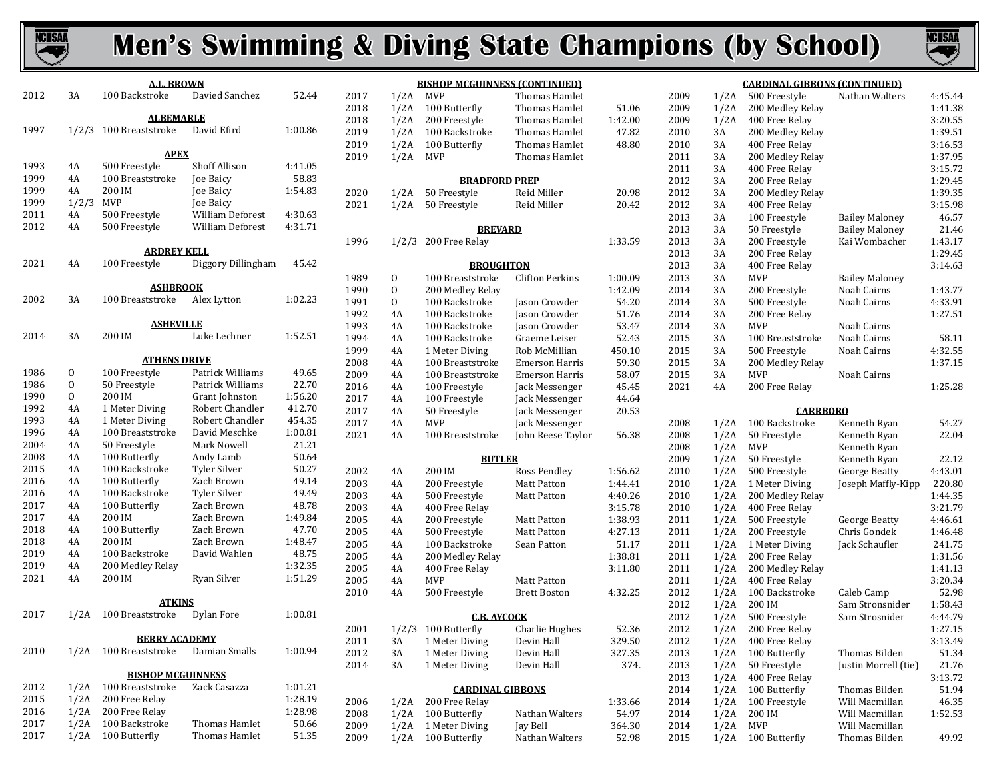



| 2012         | 3A           | A.L. BROWN<br>100 Backstroke   | Davied Sanchez                                     | 52.44              |                          |
|--------------|--------------|--------------------------------|----------------------------------------------------|--------------------|--------------------------|
|              |              |                                |                                                    |                    |                          |
|              |              | <b>ALBEMARLE</b>               |                                                    |                    |                          |
| 1997         | 1/2/3        | 100 Breaststroke               | David Efird                                        | 1:00.86            | $\frac{1}{2}$            |
|              |              |                                |                                                    |                    |                          |
|              |              | <b>APEX</b>                    |                                                    |                    |                          |
| 1993         | 4Α           | 500 Freestyle                  | Shoff Allison                                      | 4:41.05            |                          |
| 1999         | 4A           | 100 Breaststroke               | Joe Baicy                                          | 58.83              |                          |
| 1999         | 4A           | 200 IM                         | Joe Baicy                                          | 1:54.83            |                          |
| 1999         | 1/2/3        | <b>MVP</b>                     | <b>Joe Baicy</b>                                   |                    |                          |
| 2011         | 4A           | 500 Freestyle<br>500 Freestyle | <b>William Deforest</b><br><b>William Deforest</b> | 4:30.63            |                          |
| 2012         | 4A           |                                |                                                    | 4:31.71            |                          |
|              |              | <b>ARDREY KELL</b>             |                                                    |                    | 1                        |
| 2021         | 4A           | 100 Freestyle                  | Diggory Dillingham                                 | 45.42              |                          |
|              |              |                                |                                                    |                    |                          |
|              |              | <b>ASHBROOK</b>                |                                                    |                    |                          |
| 2002         | 3A           | 100 Breaststroke               | Alex Lytton                                        | 1:02.23            |                          |
|              |              |                                |                                                    |                    |                          |
|              |              | <b>ASHEVILLE</b>               |                                                    |                    |                          |
| 2014         | 3A           | 200 IM                         | Luke Lechner                                       | 1:52.51            |                          |
|              |              | <b>ATHENS DRIVE</b>            |                                                    |                    |                          |
| 1986         | 0            | 100 Freestyle                  | Patrick Williams                                   | 49.65              |                          |
| 1986         | 0            | 50 Freestyle                   | Patrick Williams                                   | 22.70              |                          |
| 1990         | 0            | 200 IM                         | Grant Johnston                                     | 1:56.20            |                          |
| 1992         | 4A           | 1 Meter Diving                 | Robert Chandler                                    | 412.70             |                          |
| 1993         | 4A           | 1 Meter Diving                 | Robert Chandler                                    | 454.35             | í                        |
| 1996         | 4A           | 100 Breaststroke               | David Meschke                                      | 1:00.81            | ź                        |
| 2004         | 4A           | 50 Freestyle                   | Mark Nowell                                        | 21.21              |                          |
| 2008         | 4A           | 100 Butterfly                  | Andy Lamb                                          | 50.64              |                          |
| 2015         | 4A           | 100 Backstroke                 | <b>Tyler Silver</b>                                | 50.27              | ź                        |
| 2016         | 4A           | 100 Butterfly                  | Zach Brown                                         | 49.14              | í                        |
| 2016         | 4A           | 100 Backstroke                 | Tyler Silver                                       | 49.49              | $\overline{\phantom{a}}$ |
| 2017         | 4A           | 100 Butterfly                  | Zach Brown                                         | 48.78              | í                        |
| 2017         | 4A           | 200 IM                         | Zach Brown                                         | 1:49.84            | $\frac{1}{2}$            |
| 2018         | 4A           | 100 Butterfly                  | Zach Brown                                         | 47.70              |                          |
| 2018         | 4A           | 200 IM                         | Zach Brown                                         | 1:48.47            | ź                        |
| 2019         | 4A<br>4A     | 100 Backstroke                 | David Wahlen                                       | 48.75              | $\frac{1}{2}$            |
| 2019<br>2021 | 4A           | 200 Medley Relay<br>200 IM     | Ryan Silver                                        | 1:32.35<br>1:51.29 |                          |
|              |              |                                |                                                    |                    | í                        |
|              |              | <b>ATKINS</b>                  |                                                    |                    |                          |
| 2017         | 1/2A         | 100 Breaststroke               | Dylan Fore                                         | 1:00.81            |                          |
|              |              |                                |                                                    |                    | ź                        |
|              |              | <b>BERRY ACADEMY</b>           |                                                    |                    |                          |
| 2010         | 1/2A         | 100 Breaststroke               | Damian Smalls                                      | 1:00.94            |                          |
|              |              |                                |                                                    |                    |                          |
|              |              | <b>BISHOP MCGUINNESS</b>       |                                                    |                    |                          |
| 2012         | 1/2A         | 100 Breaststroke               | Zack Casazza                                       | 1:01.21            |                          |
| 2015         | 1/2A         | 200 Free Relay                 |                                                    | 1:28.19            | ź                        |
| 2016         | 1/2A         | 200 Free Relay                 |                                                    | 1:28.98            |                          |
| 2017<br>2017 | 1/2A<br>1/2A | 100 Backstroke                 | <b>Thomas Hamlet</b><br><b>Thomas Hamlet</b>       | 50.66<br>51.35     | 2                        |
|              |              | 100 Butterfly                  |                                                    |                    |                          |

|      |       | <b>BISHOP MCGUINNESS (CONTINUED)</b> |                        |         |
|------|-------|--------------------------------------|------------------------|---------|
| 2017 | 1/2A  | <b>MVP</b>                           | <b>Thomas Hamlet</b>   |         |
| 2018 | 1/2A  | 100 Butterfly                        | Thomas Hamlet          | 51.06   |
| 2018 | 1/2A  | 200 Freestyle                        | Thomas Hamlet          | 1:42.00 |
| 2019 | 1/2A  | 100 Backstroke                       | Thomas Hamlet          | 47.82   |
| 2019 | 1/2A  | 100 Butterfly                        | <b>Thomas Hamlet</b>   | 48.80   |
| 2019 | 1/2A  | MVP                                  | <b>Thomas Hamlet</b>   |         |
|      |       |                                      |                        |         |
|      |       | <b>BRADFORD PREP</b>                 |                        |         |
| 2020 | 1/2A  | 50 Freestyle                         | Reid Miller            | 20.98   |
| 2021 | 1/2A  | 50 Freestyle                         | Reid Miller            | 20.42   |
|      |       | <b>BREVARD</b>                       |                        |         |
| 1996 | 1/2/3 | 200 Free Relay                       |                        | 1:33.59 |
|      |       |                                      |                        |         |
|      |       | <b>BROUGHTON</b>                     |                        |         |
| 1989 | 0     | 100 Breaststroke                     | <b>Clifton Perkins</b> | 1:00.09 |
| 1990 | 0     | 200 Medley Relay                     |                        | 1:42.09 |
| 1991 | 0     | 100 Backstroke                       | Jason Crowder          | 54.20   |
| 1992 | 4A    | 100 Backstroke                       | Jason Crowder          | 51.76   |
| 1993 | 4A    | 100 Backstroke                       | Jason Crowder          | 53.47   |
| 1994 | 4A    | 100 Backstroke                       | Graeme Leiser          | 52.43   |
| 1999 | 4A    | 1 Meter Diving                       | Rob McMillian          | 450.10  |
| 2008 | 4A    | 100 Breaststroke                     | <b>Emerson Harris</b>  | 59.30   |
| 2009 | 4A    | 100 Breaststroke                     | <b>Emerson Harris</b>  | 58.07   |
| 2016 | 4A    | 100 Freestyle                        | Jack Messenger         | 45.45   |
| 2017 | 4Α    | 100 Freestyle                        | Jack Messenger         | 44.64   |
|      | 4A    | 50 Freestyle                         | Jack Messenger         |         |
| 2017 |       |                                      |                        | 20.53   |
| 2017 | 4A    | MVP                                  | Jack Messenger         |         |
| 2021 | 4A    | 100 Breaststroke                     | John Reese Taylor      | 56.38   |
|      |       | <b>BUTLER</b>                        |                        |         |
| 2002 | 4Α    | 200 IM                               | Ross Pendley           | 1:56.62 |
| 2003 | 4Α    | 200 Freestyle                        | Matt Patton            | 1:44.41 |
| 2003 | 4Α    | 500 Freestyle                        | Matt Patton            | 4:40.26 |
| 2003 | 4A    | 400 Free Relay                       |                        | 3:15.78 |
| 2005 | 4A    | 200 Freestyle                        | Matt Patton            | 1:38.93 |
| 2005 | 4Α    | 500 Freestyle                        | Matt Patton            | 4:27.13 |
| 2005 | 4Α    | 100 Backstroke                       | Sean Patton            | 51.17   |
| 2005 | 4Α    | 200 Medley Relay                     |                        | 1:38.81 |
| 2005 | 4A    | 400 Free Relay                       |                        | 3:11.80 |
| 2005 | 4A    | <b>MVP</b>                           | Matt Patton            |         |
| 2010 | 4A    | 500 Freestyle                        | <b>Brett Boston</b>    | 4:32.25 |
|      |       |                                      |                        |         |
|      |       | <b>C.B. AYCOCK</b>                   |                        |         |
| 2001 | 1/2/3 | 100 Butterfly                        | Charlie Hughes         | 52.36   |
| 2011 | 3A    | 1 Meter Diving                       | Devin Hall             | 329.50  |
| 2012 | 3A    | 1 Meter Diving                       | Devin Hall             | 327.35  |
| 2014 | 3A    | 1 Meter Diving                       | Devin Hall             | 374.    |
|      |       | <b>CARDINAL GIBBONS</b>              |                        |         |
| 2006 | 1/2A  | 200 Free Relay                       |                        | 1:33.66 |
| 2008 | 1/2A  | 100 Butterfly                        | Nathan Walters         | 54.97   |
| 2009 | 1/2A  | 1 Meter Diving                       | Jay Bell               | 364.30  |
| 2009 | 1/2A  | 100 Butterfly                        | Nathan Walters         | 52.98   |

| <u>CARDINAL GIBBONS (CONTINUED)</u> |      |                  |                       |         |  |  |  |  |  |  |
|-------------------------------------|------|------------------|-----------------------|---------|--|--|--|--|--|--|
| 2009                                | 1/2A | 500 Freestyle    | Nathan Walters        | 4:45.44 |  |  |  |  |  |  |
| 2009                                | 1/2A | 200 Medley Relay |                       | 1:41.38 |  |  |  |  |  |  |
| 2009                                | 1/2A | 400 Free Relay   |                       | 3:20.55 |  |  |  |  |  |  |
| 2010                                | 3A   | 200 Medley Relay |                       | 1:39.51 |  |  |  |  |  |  |
| 2010                                | 3A   | 400 Free Relay   |                       | 3:16.53 |  |  |  |  |  |  |
| 2011                                | 3A   | 200 Medley Relay |                       | 1:37.95 |  |  |  |  |  |  |
| 2011                                | 3A   | 400 Free Relay   |                       | 3:15.72 |  |  |  |  |  |  |
| 2012                                | 3A   | 200 Free Relay   |                       | 1:29.45 |  |  |  |  |  |  |
| 2012                                | 3A   | 200 Medley Relay |                       | 1:39.35 |  |  |  |  |  |  |
| 2012                                | 3A   | 400 Free Relay   |                       | 3:15.98 |  |  |  |  |  |  |
| 2013                                | 3A   | 100 Freestyle    | Bailey Maloney        | 46.57   |  |  |  |  |  |  |
| 2013                                | 3A   | 50 Freestyle     | <b>Bailey Maloney</b> | 21.46   |  |  |  |  |  |  |
| 2013                                | 3A   | 200 Freestyle    | Kai Wombacher         | 1:43.17 |  |  |  |  |  |  |
| 2013                                | 3A   | 200 Free Relay   |                       | 1:29.45 |  |  |  |  |  |  |
| 2013                                | 3A   | 400 Free Relay   |                       | 3:14.63 |  |  |  |  |  |  |
| 2013                                | 3A   | MVP              | Bailey Maloney        |         |  |  |  |  |  |  |
| 2014                                | 3A   | 200 Freestyle    | Noah Cairns           | 1:43.77 |  |  |  |  |  |  |
| 2014                                | 3A   | 500 Freestyle    | Noah Cairns           | 4:33.91 |  |  |  |  |  |  |
| 2014                                | 3A   | 200 Free Relay   |                       | 1:27.51 |  |  |  |  |  |  |
| 2014                                | 3A   | MVP              | Noah Cairns           |         |  |  |  |  |  |  |
| 2015                                | 3A   | 100 Breaststroke | Noah Cairns           | 58.11   |  |  |  |  |  |  |
| 2015                                | 3A   | 500 Freestyle    | Noah Cairns           | 4:32.55 |  |  |  |  |  |  |
| 2015                                | 3A   | 200 Medley Relay |                       | 1:37.15 |  |  |  |  |  |  |
| 2015                                | 3A   | MVP              | Noah Cairns           |         |  |  |  |  |  |  |
| 2021                                | 4Α   | 200 Free Relay   |                       | 1:25.28 |  |  |  |  |  |  |
|                                     |      |                  |                       |         |  |  |  |  |  |  |
|                                     |      | <b>CARRBORO</b>  |                       |         |  |  |  |  |  |  |
| 2008                                | 1/2A | 100 Backstroke   | Kenneth Ryan          | 54.27   |  |  |  |  |  |  |
| 2008                                | 1/2A | 50 Freestyle     | Kenneth Ryan          | 22.04   |  |  |  |  |  |  |
| 2008                                | 1/2A | MVP              | Kenneth Ryan          |         |  |  |  |  |  |  |
| 2009                                | 1/2A | 50 Freestyle     | Kenneth Ryan          | 22.12   |  |  |  |  |  |  |
| 2010                                | 1/2A | 500 Freestyle    | George Beatty         | 4:43.01 |  |  |  |  |  |  |
| 2010                                | 1/2A | 1 Meter Diving   | Joseph Maffly-Kipp    | 220.80  |  |  |  |  |  |  |
| 2010                                | 1/2A | 200 Medley Relay |                       | 1:44.35 |  |  |  |  |  |  |
| 2010                                | 1/2A | 400 Free Relay   |                       | 3:21.79 |  |  |  |  |  |  |
| 2011                                | 1/2A | 500 Freestyle    | George Beatty         | 4:46.61 |  |  |  |  |  |  |
| 2011                                | 1/2A | 200 Freestyle    | Chris Gondek          | 1:46.48 |  |  |  |  |  |  |
| 2011                                | 1/2A | 1 Meter Diving   | Jack Schaufler        | 241.75  |  |  |  |  |  |  |
| 2011                                | 1/2A | 200 Free Relay   |                       | 1:31.56 |  |  |  |  |  |  |
| 2011                                | 1/2A | 200 Medley Relay |                       | 1:41.13 |  |  |  |  |  |  |
| 2011                                | 1/2A | 400 Free Relav   |                       | 3:20.34 |  |  |  |  |  |  |
| 2012                                | 1/2A | 100 Backstroke   | Caleb Camp            | 52.98   |  |  |  |  |  |  |
| 2012                                | 1/2A | 200 IM           | Sam Stronsnider       | 1:58.43 |  |  |  |  |  |  |
| 2012                                | 1/2A | 500 Freestyle    | Sam Strosnider        | 4:44.79 |  |  |  |  |  |  |
| 2012                                | 1/2A | 200 Free Relay   |                       | 1:27.15 |  |  |  |  |  |  |
| 2012                                | 1/2A | 400 Free Relay   |                       | 3:13.49 |  |  |  |  |  |  |
| 2013                                | 1/2A | 100 Butterfly    | Thomas Bilden         | 51.34   |  |  |  |  |  |  |
| 2013                                | 1/2A | 50 Freestyle     | Justin Morrell (tie)  | 21.76   |  |  |  |  |  |  |
| 2013                                | 1/2A | 400 Free Relay   |                       | 3:13.72 |  |  |  |  |  |  |
| 2014                                | 1/2A | 100 Butterfly    | Thomas Bilden         | 51.94   |  |  |  |  |  |  |
| 2014                                | 1/2A | 100 Freestyle    | Will Macmillan        | 46.35   |  |  |  |  |  |  |
| 2014                                | 1/2A | 200 IM           | Will Macmillan        | 1:52.53 |  |  |  |  |  |  |
| 2014                                | 1/2A | MVP              | Will Macmillan        |         |  |  |  |  |  |  |
| 2015                                | 1/2A | 100 Butterfly    | Thomas Bilden         | 49.92   |  |  |  |  |  |  |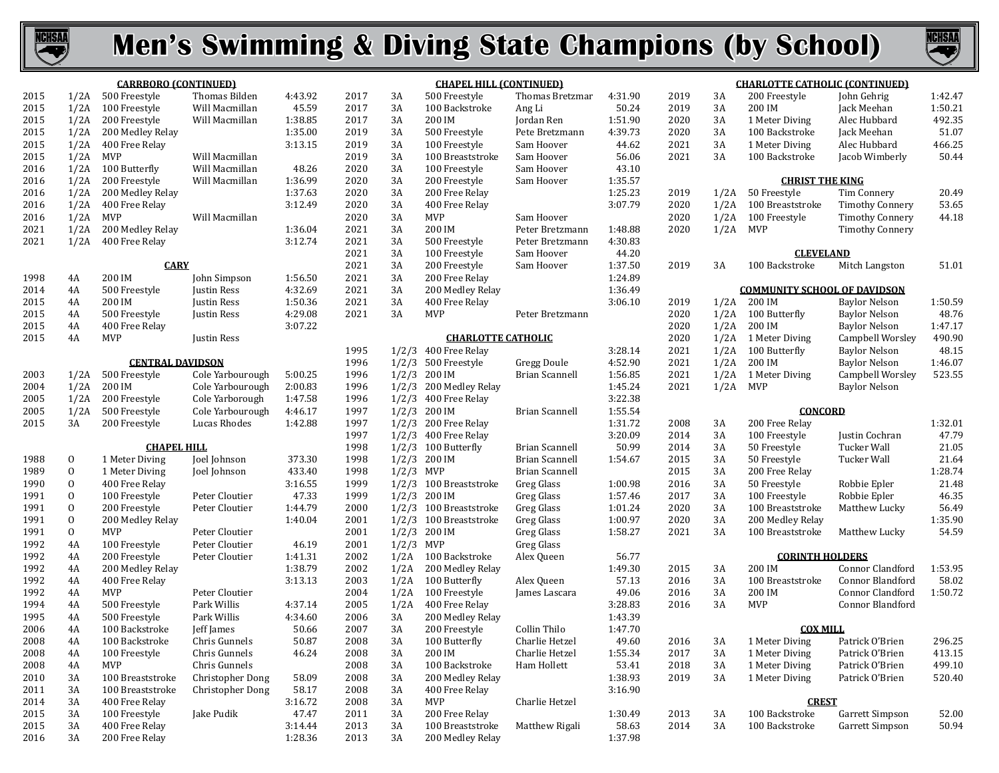



|              |                | <b>CARRBORO (CONTINUED)</b>  |                  |         |              |              | <b>CHAPEL HILL (CONTINUED)</b>      |                       |                  |              |            | <u>CHARLOTTE CATHOLIC (CONTINUED)</u> |                                      |                  |
|--------------|----------------|------------------------------|------------------|---------|--------------|--------------|-------------------------------------|-----------------------|------------------|--------------|------------|---------------------------------------|--------------------------------------|------------------|
| 2015         |                | 1/2A 500 Freestyle           | Thomas Bilden    | 4:43.92 | 2017         | 3A           | 500 Freestyle                       | Thomas Bretzmar       | 4:31.90          | 2019         | 3A         | 200 Freestyle                         | John Gehrig                          | 1:42.47          |
| 2015         |                | 1/2A 100 Freestyle           | Will Macmillan   | 45.59   | 2017         | 3A           | 100 Backstroke                      | Ang Li                | 50.24            | 2019         | 3A         | 200 IM                                | Jack Meehan                          | 1:50.21          |
| 2015         |                | 1/2A 200 Freestyle           | Will Macmillan   | 1:38.85 | 2017         | 3A           | 200 IM                              | Jordan Ren            | 1:51.90          | 2020         | 3A         | 1 Meter Diving                        | Alec Hubbard                         | 492.35           |
| 2015         |                | 1/2A 200 Medley Relay        |                  | 1:35.00 | 2019         | 3A           | 500 Freestyle                       | Pete Bretzmann        | 4:39.73          | 2020         | 3A         | 100 Backstroke                        | Jack Meehan                          | 51.07            |
| 2015         |                | 1/2A 400 Free Relay          |                  | 3:13.15 | 2019         | 3A           | 100 Freestyle                       | Sam Hoover            | 44.62            | 2021         | 3A         | 1 Meter Diving                        | Alec Hubbard                         | 466.25           |
| 2015         | $1/2A$ MVP     |                              | Will Macmillan   |         | 2019         | 3A           | 100 Breaststroke                    | Sam Hoover            | 56.06            | 2021         | 3A         | 100 Backstroke                        | Jacob Wimberly                       | 50.44            |
| 2016         |                | 1/2A 100 Butterfly           | Will Macmillan   | 48.26   | 2020         | 3A           | 100 Freestyle                       | Sam Hoover            | 43.10            |              |            |                                       |                                      |                  |
| 2016         |                | 1/2A 200 Freestyle           | Will Macmillan   | 1:36.99 | 2020         | 3A           | 200 Freestyle                       | Sam Hoover            | 1:35.57          |              |            | <b>CHRIST THE KING</b>                |                                      |                  |
| 2016         | 1/2A           | 200 Medley Relay             |                  | 1:37.63 | 2020         | 3A           | 200 Free Relay                      |                       | 1:25.23          | 2019         |            | 1/2A 50 Freestyle                     | Tim Connery                          | 20.49            |
| 2016         |                | 1/2A 400 Free Relay          |                  | 3:12.49 | 2020         | 3A           | 400 Free Relay                      |                       | 3:07.79          | 2020         | 1/2A       | 100 Breaststroke                      | <b>Timothy Connery</b>               | 53.65            |
| 2016         | 1/2A           | MVP                          | Will Macmillan   |         | 2020         | 3A           | MVP                                 | Sam Hoover            |                  | 2020         | 1/2A       | 100 Freestyle                         | <b>Timothy Connery</b>               | 44.18            |
| 2021         |                | 1/2A 200 Medley Relay        |                  | 1:36.04 | 2021         | 3A           | 200 IM                              | Peter Bretzmann       | 1:48.88          | 2020         | $1/2A$ MVP |                                       | <b>Timothy Connery</b>               |                  |
| 2021         | 1/2A           | 400 Free Relay               |                  | 3:12.74 | 2021         | 3A           | 500 Freestyle                       | Peter Bretzmann       | 4:30.83          |              |            |                                       |                                      |                  |
|              |                |                              |                  |         | 2021         | 3A           | 100 Freestyle                       | Sam Hoover            | 44.20            |              |            | <b>CLEVELAND</b>                      |                                      |                  |
|              |                | <b>CARY</b>                  |                  |         | 2021         | 3A           | 200 Freestyle                       | Sam Hoover            | 1:37.50          | 2019         | 3A         | 100 Backstroke                        | Mitch Langston                       | 51.01            |
| 1998         | 4A             | 200 IM                       | John Simpson     | 1:56.50 | 2021         | 3A           | 200 Free Relay                      |                       | 1:24.89          |              |            |                                       |                                      |                  |
| 2014         | 4A             | 500 Freestyle                | Justin Ress      | 4:32.69 | 2021         | 3A           | 200 Medley Relay                    |                       | 1:36.49          |              |            | <b>COMMUNITY SCHOOL OF DAVIDSON</b>   |                                      |                  |
| 2015         | 4A             | 200 IM                       | Justin Ress      | 1:50.36 | 2021         | 3A           | 400 Free Relay                      |                       | 3:06.10          | 2019         |            | $1/2A$ 200 IM                         | <b>Baylor Nelson</b>                 | 1:50.59          |
| 2015         | 4A             | 500 Freestyle                | Justin Ress      | 4:29.08 | 2021         | 3A           | <b>MVP</b>                          | Peter Bretzmann       |                  | 2020         |            | 1/2A 100 Butterfly                    | <b>Baylor Nelson</b>                 | 48.76            |
| 2015         | 4A             | 400 Free Relay               |                  | 3:07.22 |              |              |                                     |                       |                  | 2020         | 1/2A       | 200 IM                                | <b>Baylor Nelson</b>                 | 1:47.17          |
| 2015         | 4A             | MVP                          | Justin Ress      |         |              |              | <b>CHARLOTTE CATHOLIC</b>           |                       |                  | 2020         |            | 1/2A 1 Meter Diving                   | Campbell Worsley                     | 490.90           |
|              |                |                              |                  |         | 1995         |              | 1/2/3 400 Free Relay                |                       | 3:28.14          | 2021         |            | 1/2A 100 Butterfly                    | <b>Baylor Nelson</b>                 | 48.15            |
|              |                | <b>CENTRAL DAVIDSON</b>      |                  |         | 1996         |              | $1/2/3$ 500 Freestyle               | Gregg Doule           | 4:52.90          | 2021         | 1/2A       | 200 IM                                | <b>Baylor Nelson</b>                 | 1:46.07          |
| 2003         |                | 1/2A 500 Freestyle           | Cole Yarbourough | 5:00.25 | 1996         |              | $1/2/3$ 200 IM                      | <b>Brian Scannell</b> | 1:56.85          | 2021         |            | 1/2A 1 Meter Diving                   | Campbell Worsley                     | 523.55           |
| 2004         | 1/2A           | 200 IM                       | Cole Yarbourough | 2:00.83 | 1996         |              | $1/2/3$ 200 Medley Relay            |                       | 1:45.24          | 2021         | $1/2A$ MVP |                                       | <b>Baylor Nelson</b>                 |                  |
| 2005         | 1/2A           | 200 Freestyle                | Cole Yarborough  | 1:47.58 | 1996         |              | 1/2/3 400 Free Relay                |                       | 3:22.38          |              |            |                                       |                                      |                  |
| 2005         | 1/2A           | 500 Freestyle                | Cole Yarbourough | 4:46.17 | 1997         |              | $1/2/3$ 200 IM                      | <b>Brian Scannell</b> | 1:55.54          |              |            | <b>CONCORD</b>                        |                                      |                  |
| 2015         | 3A             | 200 Freestyle                | Lucas Rhodes     | 1:42.88 | 1997         |              | $1/2/3$ 200 Free Relay              |                       | 1:31.72          | 2008         | 3A         | 200 Free Relay                        |                                      | 1:32.01          |
|              |                |                              |                  |         | 1997         |              | $1/2/3$ 400 Free Relay              |                       | 3:20.09          | 2014         | 3A         | 100 Freestyle                         | Justin Cochran                       | 47.79            |
|              |                | <b>CHAPEL HILL</b>           |                  |         | 1998         |              | $1/2/3$ 100 Butterfly               | <b>Brian Scannell</b> | 50.99            | 2014         | 3A         | 50 Freestyle                          | Tucker Wall                          | 21.05            |
| 1988         | $\mathbf{0}$   | 1 Meter Diving               | Joel Johnson     | 373.30  | 1998         |              | $1/2/3$ 200 IM                      | <b>Brian Scannell</b> | 1:54.67          | 2015         | 3A         | 50 Freestyle                          | Tucker Wall                          | 21.64            |
| 1989         | $\mathbf{0}$   | 1 Meter Diving               | Joel Johnson     | 433.40  | 1998         | $1/2/3$ MVP  |                                     | <b>Brian Scannell</b> |                  | 2015         | 3A         | 200 Free Relay                        |                                      | 1:28.74          |
| 1990         | $\mathbf{0}$   | 400 Free Relay               |                  | 3:16.55 | 1999         |              | 1/2/3 100 Breaststroke              | Greg Glass            | 1:00.98          | 2016         | 3A         | 50 Freestyle                          | Robbie Epler                         | 21.48            |
| 1991         | $\overline{0}$ | 100 Freestyle                | Peter Cloutier   | 47.33   | 1999         |              | $1/2/3$ 200 IM                      | Greg Glass            | 1:57.46          | 2017         | 3A         | 100 Freestyle                         | Robbie Epler                         | 46.35            |
| 1991         | $\mathbf{0}$   | 200 Freestyle                | Peter Cloutier   | 1:44.79 | 2000         |              | 1/2/3 100 Breaststroke              | Greg Glass            | 1:01.24          | 2020         | 3A         | 100 Breaststroke                      | Matthew Lucky                        | 56.49            |
| 1991         | $\mathbf{0}$   | 200 Medley Relay             |                  | 1:40.04 | 2001         |              | 1/2/3 100 Breaststroke              | Greg Glass            | 1:00.97          | 2020         | 3A         | 200 Medley Relay                      |                                      | 1:35.90          |
| 1991         | $\mathbf{0}$   | <b>MVP</b>                   | Peter Cloutier   |         | 2001         |              | $1/2/3$ 200 IM                      | Greg Glass            | 1:58.27          | 2021         | 3A         | 100 Breaststroke                      | Matthew Lucky                        | 54.59            |
| 1992         | 4A             | 100 Freestyle                | Peter Cloutier   | 46.19   | 2001         | $1/2/3$ MVP  |                                     | Greg Glass            |                  |              |            |                                       |                                      |                  |
| 1992         | 4A             | 200 Freestyle                | Peter Cloutier   | 1:41.31 | 2002         |              | 1/2A 100 Backstroke                 | Alex Queen            | 56.77            |              |            | <b>CORINTH HOLDERS</b>                |                                      |                  |
| 1992<br>1992 | 4A             | 200 Medley Relay             |                  | 1:38.79 | 2002         | 1/2A         | 200 Medley Relay                    |                       | 1:49.30<br>57.13 | 2015         | 3A<br>3A   | 200 IM<br>100 Breaststroke            | Connor Clandford                     | 1:53.95<br>58.02 |
| 1992         | 4A             | 400 Free Relay<br><b>MVP</b> | Peter Cloutier   | 3:13.13 | 2003         |              | 1/2A 100 Butterfly<br>100 Freestyle | Alex Queen            | 49.06            | 2016<br>2016 | 3A         | 200 IM                                | Connor Blandford<br>Connor Clandford | 1:50.72          |
| 1994         | 4A<br>4A       | 500 Freestyle                | Park Willis      | 4:37.14 | 2004<br>2005 | 1/2A<br>1/2A | 400 Free Relay                      | James Lascara         | 3:28.83          | 2016         | 3A         | <b>MVP</b>                            | Connor Blandford                     |                  |
| 1995         | 4A             | 500 Freestyle                | Park Willis      | 4:34.60 | 2006         | 3A           | 200 Medley Relay                    |                       | 1:43.39          |              |            |                                       |                                      |                  |
| 2006         | 4A             | 100 Backstroke               | Jeff James       | 50.66   | 2007         | 3A           | 200 Freestyle                       | Collin Thilo          | 1:47.70          |              |            | <b>COX MILL</b>                       |                                      |                  |
| 2008         | 4A             | 100 Backstroke               | Chris Gunnels    | 50.87   | 2008         | 3A           | 100 Butterfly                       | Charlie Hetzel        | 49.60            | 2016         |            | 3A 1 Meter Diving                     | Patrick O'Brien                      | 296.25           |
| 2008         | 4A             | 100 Freestyle                | Chris Gunnels    | 46.24   | 2008         | 3A           | 200 IM                              | Charlie Hetzel        | 1:55.34          | 2017         | 3A         | 1 Meter Diving                        | Patrick O'Brien                      | 413.15           |
| 2008         | 4A             | MVP                          | Chris Gunnels    |         | 2008         | 3A           | 100 Backstroke                      | Ham Hollett           | 53.41            | 2018         | 3A         | 1 Meter Diving                        | Patrick O'Brien                      | 499.10           |
| 2010         | 3A             | 100 Breaststroke             | Christopher Dong | 58.09   | 2008         | 3A           | 200 Medley Relay                    |                       | 1:38.93          | 2019         | 3A         | 1 Meter Diving                        | Patrick O'Brien                      | 520.40           |
| 2011         | 3A             | 100 Breaststroke             | Christopher Dong | 58.17   | 2008         | 3A           | 400 Free Relay                      |                       | 3:16.90          |              |            |                                       |                                      |                  |
| 2014         | 3A             | 400 Free Relay               |                  | 3:16.72 | 2008         | 3A           | MVP                                 | Charlie Hetzel        |                  |              |            | <b>CREST</b>                          |                                      |                  |
| 2015         | 3A             | 100 Freestyle                | Jake Pudik       | 47.47   | 2011         | 3A           | 200 Free Relay                      |                       | 1:30.49          | 2013         | 3A         | 100 Backstroke                        | Garrett Simpson                      | 52.00            |
| 2015         | 3A             | 400 Free Relay               |                  | 3:14.44 | 2013         | 3A           | 100 Breaststroke                    | Matthew Rigali        | 58.63            | 2014         | 3A         | 100 Backstroke                        | Garrett Simpson                      | 50.94            |
| 2016         | 3A             | 200 Free Relay               |                  | 1:28.36 | 2013         | 3A           | 200 Medley Relay                    |                       | 1:37.98          |              |            |                                       |                                      |                  |
|              |                |                              |                  |         |              |              |                                     |                       |                  |              |            |                                       |                                      |                  |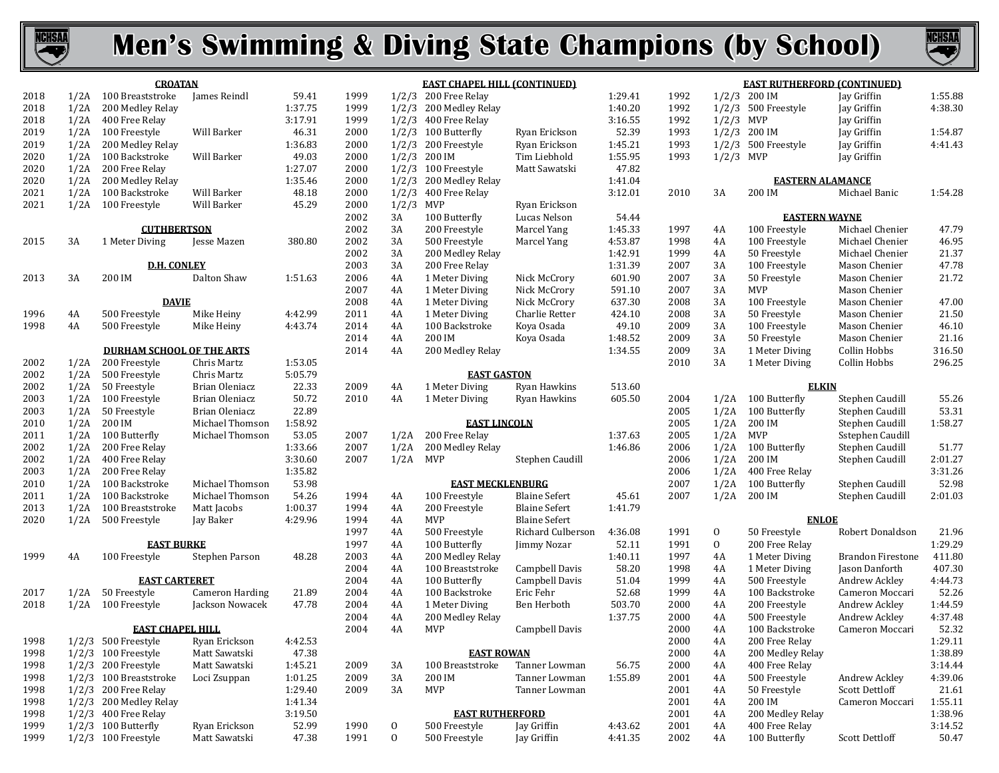



|              |      | <b>CROATAN</b>                              |                                    |                  |      |              | <b>EAST CHAPEL HILL (CONTINUED)</b> |                                              |                  |              |              | <b>EAST RUTHERFORD (CONTINUED)</b> |                          |                  |
|--------------|------|---------------------------------------------|------------------------------------|------------------|------|--------------|-------------------------------------|----------------------------------------------|------------------|--------------|--------------|------------------------------------|--------------------------|------------------|
| 2018         |      | 1/2A 100 Breaststroke                       | James Reindl                       | 59.41            | 1999 |              | 1/2/3 200 Free Relay                |                                              | 1:29.41          | 1992         |              | $1/2/3$ 200 IM                     | Jay Griffin              | 1:55.88          |
| 2018         | 1/2A | 200 Medley Relay                            |                                    | 1:37.75          | 1999 |              | 1/2/3 200 Medley Relay              |                                              | 1:40.20          | 1992         |              | 1/2/3 500 Freestyle                | Jay Griffin              | 4:38.30          |
| 2018         | 1/2A | 400 Free Relay                              |                                    | 3:17.91          | 1999 |              | $1/2/3$ 400 Free Relay              |                                              | 3:16.55          | 1992         | $1/2/3$ MVP  |                                    | Jay Griffin              |                  |
| 2019         |      | 1/2A 100 Freestyle                          | Will Barker                        | 46.31            | 2000 |              | $1/2/3$ 100 Butterfly               | Ryan Erickson                                | 52.39            | 1993         |              | $1/2/3$ 200 IM                     | Jay Griffin              | 1:54.87          |
| 2019         | 1/2A | 200 Medley Relay                            |                                    | 1:36.83          | 2000 |              | 1/2/3 200 Freestyle                 | Ryan Erickson                                | 1:45.21          | 1993         |              | 1/2/3 500 Freestyle                | Jay Griffin              | 4:41.43          |
| 2020         |      | 1/2A 100 Backstroke                         | Will Barker                        | 49.03            | 2000 |              | $1/2/3$ 200 IM                      | Tim Liebhold                                 | 1:55.95          | 1993         | $1/2/3$ MVP  |                                    | Jay Griffin              |                  |
| 2020         | 1/2A | 200 Free Relay                              |                                    | 1:27.07          | 2000 |              | 1/2/3 100 Freestyle                 | Matt Sawatski                                | 47.82            |              |              |                                    |                          |                  |
| 2020         | 1/2A | 200 Medley Relay                            |                                    | 1:35.46          | 2000 |              | $1/2/3$ 200 Medley Relay            |                                              | 1:41.04          |              |              | <b>EASTERN ALAMANCE</b>            |                          |                  |
| 2021         |      | 1/2A 100 Backstroke                         | Will Barker                        | 48.18            | 2000 |              | 1/2/3 400 Free Relay                |                                              | 3:12.01          | 2010         | 3A           | 200 IM                             | Michael Banic            | 1:54.28          |
| 2021         |      | 1/2A 100 Freestyle                          | Will Barker                        | 45.29            | 2000 | $1/2/3$ MVP  |                                     | Ryan Erickson                                |                  |              |              |                                    |                          |                  |
|              |      |                                             |                                    |                  | 2002 | 3A           | 100 Butterfly                       | Lucas Nelson                                 | 54.44            |              |              | <b>EASTERN WAYNE</b>               |                          |                  |
|              |      | <b>CUTHBERTSON</b>                          |                                    |                  | 2002 | 3A           | 200 Freestyle                       | Marcel Yang                                  | 1:45.33          | 1997         | 4A           | 100 Freestyle                      | Michael Chenier          | 47.79            |
| 2015         | 3A   | 1 Meter Diving                              | Jesse Mazen                        | 380.80           | 2002 | 3A           | 500 Freestyle                       | Marcel Yang                                  | 4:53.87          | 1998         | 4A           | 100 Freestyle                      | Michael Chenier          | 46.95            |
|              |      |                                             |                                    |                  | 2002 | 3A           | 200 Medley Relay                    |                                              | 1:42.91          | 1999         | 4A           | 50 Freestyle                       | Michael Chenier          | 21.37            |
|              |      | <b>D.H. CONLEY</b>                          |                                    |                  | 2003 | 3A           | 200 Free Relay                      |                                              | 1:31.39          | 2007         | 3A           | 100 Freestyle                      | Mason Chenier            | 47.78            |
| 2013         | 3A   | 200 IM                                      | Dalton Shaw                        | 1:51.63          | 2006 | 4A           | 1 Meter Diving                      | Nick McCrory                                 | 601.90           | 2007         | 3A           | 50 Freestyle                       | Mason Chenier            | 21.72            |
|              |      |                                             |                                    |                  | 2007 | 4A           | 1 Meter Diving                      | Nick McCrory                                 | 591.10           | 2007         | 3A           | <b>MVP</b>                         | Mason Chenier            |                  |
|              |      | <b>DAVIE</b>                                |                                    |                  | 2008 | 4A           | 1 Meter Diving                      | Nick McCrory                                 | 637.30           | 2008         | 3A           | 100 Freestyle                      | Mason Chenier            | 47.00            |
| 1996         | 4A   | 500 Freestyle                               | Mike Heiny                         | 4:42.99          | 2011 | 4A           | 1 Meter Diving                      | Charlie Retter                               | 424.10           | 2008         | 3A           | 50 Freestyle                       | Mason Chenier            | 21.50            |
| 1998         | 4A   | 500 Freestyle                               | Mike Heiny                         | 4:43.74          | 2014 | 4A           | 100 Backstroke                      | Koya Osada                                   | 49.10            | 2009         | 3A           | 100 Freestyle                      | Mason Chenier            | 46.10            |
|              |      |                                             |                                    |                  | 2014 | 4A           | 200 IM                              | Koya Osada                                   | 1:48.52          | 2009         | 3A           | 50 Freestyle                       | Mason Chenier            | 21.16            |
|              |      | <b>DURHAM SCHOOL OF THE ARTS</b>            |                                    |                  | 2014 | 4A           | 200 Medley Relay                    |                                              | 1:34.55          | 2009         | 3A           | 1 Meter Diving                     | Collin Hobbs             | 316.50           |
| 2002         | 1/2A | 200 Freestyle                               | Chris Martz                        | 1:53.05          |      |              |                                     |                                              |                  | 2010         | 3A           | 1 Meter Diving                     | Collin Hobbs             | 296.25           |
| 2002         |      | 1/2A 500 Freestyle                          | Chris Martz                        | 5:05.79          |      |              | <b>EAST GASTON</b>                  |                                              |                  |              |              |                                    |                          |                  |
| 2002         |      | 1/2A 50 Freestyle                           | Brian Oleniacz                     | 22.33            | 2009 | 4A           | 1 Meter Diving                      | Ryan Hawkins                                 | 513.60           |              |              | <b>ELKIN</b>                       |                          |                  |
| 2003         |      | 1/2A 100 Freestyle                          | Brian Oleniacz                     | 50.72            | 2010 | 4A           | 1 Meter Diving                      | Ryan Hawkins                                 | 605.50           | 2004         | 1/2A         | 100 Butterfly                      | Stephen Caudill          | 55.26            |
| 2003         | 1/2A | 50 Freestyle                                | Brian Oleniacz                     | 22.89            |      |              |                                     |                                              |                  | 2005         | 1/2A         | 100 Butterfly                      | Stephen Caudill          | 53.31            |
| 2010         | 1/2A | 200 IM                                      | Michael Thomson                    | 1:58.92          |      |              | <b>EAST LINCOLN</b>                 |                                              |                  | 2005         | 1/2A         | 200 IM                             | Stephen Caudill          | 1:58.27          |
| 2011         |      | 1/2A 100 Butterfly                          | Michael Thomson                    | 53.05            | 2007 | 1/2A         | 200 Free Relay                      |                                              | 1:37.63          | 2005         | 1/2A         | MVP                                | Sstephen Caudill         |                  |
| 2002         | 1/2A | 200 Free Relay                              |                                    | 1:33.66          | 2007 | 1/2A         | 200 Medley Relay                    |                                              | 1:46.86          | 2006         | 1/2A         | 100 Butterfly                      | Stephen Caudill          | 51.77            |
| 2002         |      | 1/2A 400 Free Relay                         |                                    | 3:30.60          | 2007 | 1/2A         | MVP                                 | Stephen Caudill                              |                  | 2006         | 1/2A         | 200 IM                             | Stephen Caudill          | 2:01.27          |
| 2003         | 1/2A | 200 Free Relay                              |                                    | 1:35.82          |      |              |                                     |                                              |                  | 2006         | 1/2A         | 400 Free Relay                     |                          | 3:31.26          |
| 2010         |      | 1/2A 100 Backstroke                         | Michael Thomson<br>Michael Thomson | 53.98            | 1994 |              | <b>EAST MECKLENBURG</b>             |                                              |                  | 2007<br>2007 | 1/2A<br>1/2A | 100 Butterfly<br>200 IM            | Stephen Caudill          | 52.98<br>2:01.03 |
| 2011<br>2013 |      | 1/2A 100 Backstroke                         |                                    | 54.26<br>1:00.37 | 1994 | 4A           | 100 Freestyle                       | <b>Blaine Sefert</b><br><b>Blaine Sefert</b> | 45.61<br>1:41.79 |              |              |                                    | Stephen Caudill          |                  |
| 2020         |      | 1/2A 100 Breaststroke<br>1/2A 500 Freestyle | Matt Jacobs<br>Jay Baker           | 4:29.96          | 1994 | 4A<br>4A     | 200 Freestyle<br>MVP                | <b>Blaine Sefert</b>                         |                  |              |              | <b>ENLOE</b>                       |                          |                  |
|              |      |                                             |                                    |                  | 1997 | 4A           | 500 Freestyle                       | Richard Culberson                            | 4:36.08          | 1991         | $\mathbf{0}$ | 50 Freestyle                       | Robert Donaldson         | 21.96            |
|              |      | <b>EAST BURKE</b>                           |                                    |                  | 1997 | 4A           | 100 Butterfly                       | Jimmy Nozar                                  | 52.11            | 1991         | $\mathbf{0}$ | 200 Free Relay                     |                          | 1:29.29          |
| 1999         | 4A   | 100 Freestyle                               | Stephen Parson                     | 48.28            | 2003 | 4A           | 200 Medley Relay                    |                                              | 1:40.11          | 1997         | 4A           | 1 Meter Diving                     | <b>Brandon Firestone</b> | 411.80           |
|              |      |                                             |                                    |                  | 2004 | 4A           | 100 Breaststroke                    | Campbell Davis                               | 58.20            | 1998         | 4A           | 1 Meter Diving                     | Jason Danforth           | 407.30           |
|              |      | <b>EAST CARTERET</b>                        |                                    |                  | 2004 | 4A           | 100 Butterfly                       | Campbell Davis                               | 51.04            | 1999         | 4A           | 500 Freestyle                      | Andrew Ackley            | 4:44.73          |
| 2017         | 1/2A | 50 Freestyle                                | <b>Cameron Harding</b>             | 21.89            | 2004 | 4A           | 100 Backstroke                      | Eric Fehr                                    | 52.68            | 1999         | 4A           | 100 Backstroke                     | Cameron Moccari          | 52.26            |
| 2018         |      | 1/2A 100 Freestyle                          | Jackson Nowacek                    | 47.78            | 2004 | 4A           | 1 Meter Diving                      | Ben Herboth                                  | 503.70           | 2000         | 4A           | 200 Freestyle                      | Andrew Ackley            | 1:44.59          |
|              |      |                                             |                                    |                  | 2004 | 4A           | 200 Medley Relay                    |                                              | 1:37.75          | 2000         | 4A           | 500 Freestyle                      | Andrew Ackley            | 4:37.48          |
|              |      | <b>EAST CHAPEL HILL</b>                     |                                    |                  | 2004 | 4A           | <b>MVP</b>                          | Campbell Davis                               |                  | 2000         | 4A           | 100 Backstroke                     | Cameron Moccari          | 52.32            |
| 1998         |      | 1/2/3 500 Freestyle                         | Ryan Erickson                      | 4:42.53          |      |              |                                     |                                              |                  | 2000         | 4A           | 200 Free Relay                     |                          | 1:29.11          |
| 1998         |      | 1/2/3 100 Freestyle                         | Matt Sawatski                      | 47.38            |      |              | <b>EAST ROWAN</b>                   |                                              |                  | 2000         | 4A           | 200 Medley Relay                   |                          | 1:38.89          |
| 1998         |      | 1/2/3 200 Freestyle                         | Matt Sawatski                      | 1:45.21          | 2009 | 3A           | 100 Breaststroke                    | Tanner Lowman                                | 56.75            | 2000         | 4A           | 400 Free Relay                     |                          | 3:14.44          |
| 1998         |      | 1/2/3 100 Breaststroke                      | Loci Zsuppan                       | 1:01.25          | 2009 | 3A           | 200 IM                              | Tanner Lowman                                | 1:55.89          | 2001         | 4A           | 500 Freestyle                      | Andrew Ackley            | 4:39.06          |
| 1998         |      | 1/2/3 200 Free Relay                        |                                    | 1:29.40          | 2009 | 3A           | MVP                                 | Tanner Lowman                                |                  | 2001         | 4A           | 50 Freestyle                       | Scott Dettloff           | 21.61            |
| 1998         |      | 1/2/3 200 Medley Relay                      |                                    | 1:41.34          |      |              |                                     |                                              |                  | 2001         | 4A           | 200 IM                             | Cameron Moccari          | 1:55.11          |
| 1998         |      | 1/2/3 400 Free Relay                        |                                    | 3:19.50          |      |              | <b>EAST RUTHERFORD</b>              |                                              |                  | 2001         | 4A           | 200 Medley Relay                   |                          | 1:38.96          |
| 1999         |      | 1/2/3 100 Butterfly                         | Ryan Erickson                      | 52.99            | 1990 | 0            | 500 Freestyle                       | Jay Griffin                                  | 4:43.62          | 2001         | 4A           | 400 Free Relay                     |                          | 3:14.52          |
| 1999         |      | 1/2/3 100 Freestyle                         | Matt Sawatski                      | 47.38            | 1991 | $\mathbf{0}$ | 500 Freestyle                       | Jay Griffin                                  | 4:41.35          | 2002         | 4A           | 100 Butterfly                      | Scott Dettloff           | 50.47            |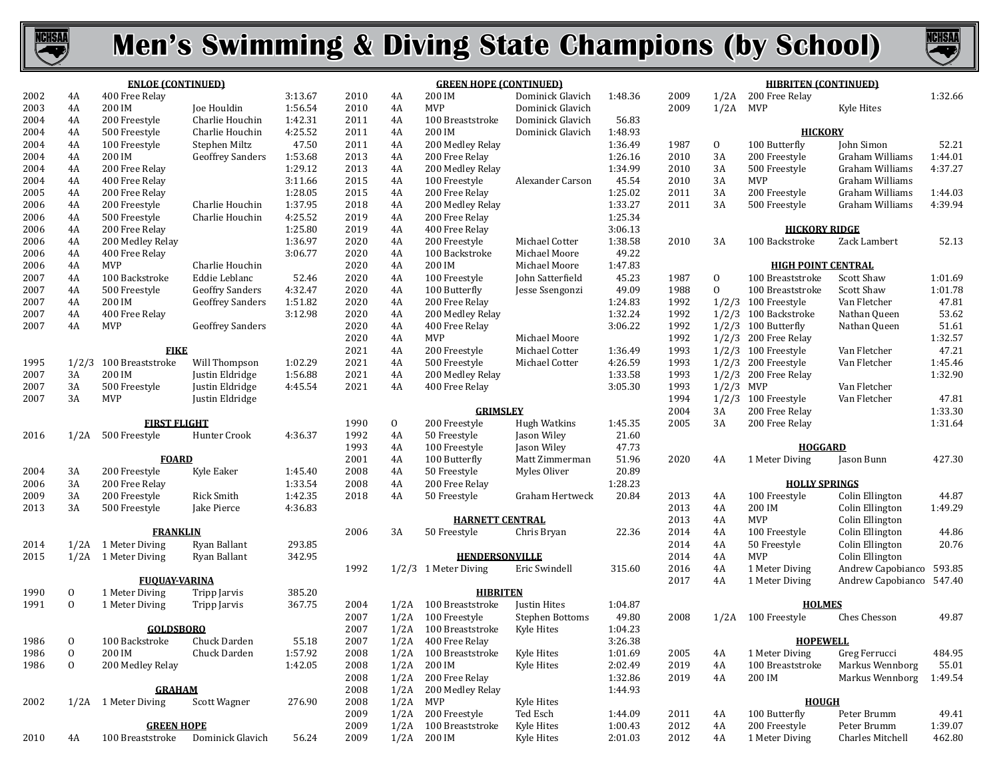



| 4A<br>4A<br>4A | <b>ENLOE (CONTINUED)</b><br>400 Free Relay<br>200 IM<br>200 Freestyle                                                                                                                                            | <b>Joe Houldin</b>                                                                                                                                                                                                                                                                                                                                                                                                                                                                                                  | 3:13.67<br>1:56.54                                                                                                                                                                                                                                                                                                                                                                                                                                                                                                                                 | 2010                                                                                                                                                                                                                                                                                          | 4A                                                                                                                                                                                                                                                                           | <b>GREEN HOPE (CONTINUED)</b><br>200 IM                                                                                                                                                                                         | Dominick Glavich                                                                                                                                                                                                                                                                                                                                                                                                                                                                                                                                                                                                  | 1:48.36                                                                                                                                                                                                                                                                                                                                                                                                                                              | 2009                                                                                                                                                                                                                                                                                                                                             |                                                                                                                                                                                                                                      | <b>HIBRITEN (CONTINUED)</b><br>1/2A 200 Free Relay                                                                                 |                                                                                                                                                                                                                                                                                                                                                                                                                                                                                                                                                         | 1:32.66                                                                                                                                                                                                                                                                                                                                                                                                                                                                                                                                                                                            |
|----------------|------------------------------------------------------------------------------------------------------------------------------------------------------------------------------------------------------------------|---------------------------------------------------------------------------------------------------------------------------------------------------------------------------------------------------------------------------------------------------------------------------------------------------------------------------------------------------------------------------------------------------------------------------------------------------------------------------------------------------------------------|----------------------------------------------------------------------------------------------------------------------------------------------------------------------------------------------------------------------------------------------------------------------------------------------------------------------------------------------------------------------------------------------------------------------------------------------------------------------------------------------------------------------------------------------------|-----------------------------------------------------------------------------------------------------------------------------------------------------------------------------------------------------------------------------------------------------------------------------------------------|------------------------------------------------------------------------------------------------------------------------------------------------------------------------------------------------------------------------------------------------------------------------------|---------------------------------------------------------------------------------------------------------------------------------------------------------------------------------------------------------------------------------|-------------------------------------------------------------------------------------------------------------------------------------------------------------------------------------------------------------------------------------------------------------------------------------------------------------------------------------------------------------------------------------------------------------------------------------------------------------------------------------------------------------------------------------------------------------------------------------------------------------------|------------------------------------------------------------------------------------------------------------------------------------------------------------------------------------------------------------------------------------------------------------------------------------------------------------------------------------------------------------------------------------------------------------------------------------------------------|--------------------------------------------------------------------------------------------------------------------------------------------------------------------------------------------------------------------------------------------------------------------------------------------------------------------------------------------------|--------------------------------------------------------------------------------------------------------------------------------------------------------------------------------------------------------------------------------------|------------------------------------------------------------------------------------------------------------------------------------|---------------------------------------------------------------------------------------------------------------------------------------------------------------------------------------------------------------------------------------------------------------------------------------------------------------------------------------------------------------------------------------------------------------------------------------------------------------------------------------------------------------------------------------------------------|----------------------------------------------------------------------------------------------------------------------------------------------------------------------------------------------------------------------------------------------------------------------------------------------------------------------------------------------------------------------------------------------------------------------------------------------------------------------------------------------------------------------------------------------------------------------------------------------------|
|                |                                                                                                                                                                                                                  |                                                                                                                                                                                                                                                                                                                                                                                                                                                                                                                     |                                                                                                                                                                                                                                                                                                                                                                                                                                                                                                                                                    |                                                                                                                                                                                                                                                                                               |                                                                                                                                                                                                                                                                              |                                                                                                                                                                                                                                 |                                                                                                                                                                                                                                                                                                                                                                                                                                                                                                                                                                                                                   |                                                                                                                                                                                                                                                                                                                                                                                                                                                      |                                                                                                                                                                                                                                                                                                                                                  |                                                                                                                                                                                                                                      |                                                                                                                                    |                                                                                                                                                                                                                                                                                                                                                                                                                                                                                                                                                         |                                                                                                                                                                                                                                                                                                                                                                                                                                                                                                                                                                                                    |
|                |                                                                                                                                                                                                                  |                                                                                                                                                                                                                                                                                                                                                                                                                                                                                                                     |                                                                                                                                                                                                                                                                                                                                                                                                                                                                                                                                                    |                                                                                                                                                                                                                                                                                               |                                                                                                                                                                                                                                                                              |                                                                                                                                                                                                                                 |                                                                                                                                                                                                                                                                                                                                                                                                                                                                                                                                                                                                                   |                                                                                                                                                                                                                                                                                                                                                                                                                                                      |                                                                                                                                                                                                                                                                                                                                                  |                                                                                                                                                                                                                                      |                                                                                                                                    |                                                                                                                                                                                                                                                                                                                                                                                                                                                                                                                                                         |                                                                                                                                                                                                                                                                                                                                                                                                                                                                                                                                                                                                    |
|                |                                                                                                                                                                                                                  |                                                                                                                                                                                                                                                                                                                                                                                                                                                                                                                     |                                                                                                                                                                                                                                                                                                                                                                                                                                                                                                                                                    | 2010                                                                                                                                                                                                                                                                                          | 4A                                                                                                                                                                                                                                                                           | <b>MVP</b>                                                                                                                                                                                                                      | Dominick Glavich                                                                                                                                                                                                                                                                                                                                                                                                                                                                                                                                                                                                  |                                                                                                                                                                                                                                                                                                                                                                                                                                                      | 2009                                                                                                                                                                                                                                                                                                                                             | 1/2A                                                                                                                                                                                                                                 | MVP                                                                                                                                | Kyle Hites                                                                                                                                                                                                                                                                                                                                                                                                                                                                                                                                              |                                                                                                                                                                                                                                                                                                                                                                                                                                                                                                                                                                                                    |
|                |                                                                                                                                                                                                                  | Charlie Houchin                                                                                                                                                                                                                                                                                                                                                                                                                                                                                                     | 1:42.31                                                                                                                                                                                                                                                                                                                                                                                                                                                                                                                                            | 2011                                                                                                                                                                                                                                                                                          | 4A                                                                                                                                                                                                                                                                           | 100 Breaststroke                                                                                                                                                                                                                | Dominick Glavich                                                                                                                                                                                                                                                                                                                                                                                                                                                                                                                                                                                                  | 56.83                                                                                                                                                                                                                                                                                                                                                                                                                                                |                                                                                                                                                                                                                                                                                                                                                  |                                                                                                                                                                                                                                      |                                                                                                                                    |                                                                                                                                                                                                                                                                                                                                                                                                                                                                                                                                                         |                                                                                                                                                                                                                                                                                                                                                                                                                                                                                                                                                                                                    |
| 4A             | 500 Freestyle                                                                                                                                                                                                    | Charlie Houchin                                                                                                                                                                                                                                                                                                                                                                                                                                                                                                     | 4:25.52                                                                                                                                                                                                                                                                                                                                                                                                                                                                                                                                            | 2011                                                                                                                                                                                                                                                                                          | 4A                                                                                                                                                                                                                                                                           | 200 IM                                                                                                                                                                                                                          | Dominick Glavich                                                                                                                                                                                                                                                                                                                                                                                                                                                                                                                                                                                                  | 1:48.93                                                                                                                                                                                                                                                                                                                                                                                                                                              |                                                                                                                                                                                                                                                                                                                                                  |                                                                                                                                                                                                                                      | <b>HICKORY</b>                                                                                                                     |                                                                                                                                                                                                                                                                                                                                                                                                                                                                                                                                                         |                                                                                                                                                                                                                                                                                                                                                                                                                                                                                                                                                                                                    |
| 4A             | 100 Freestyle                                                                                                                                                                                                    | Stephen Miltz                                                                                                                                                                                                                                                                                                                                                                                                                                                                                                       | 47.50                                                                                                                                                                                                                                                                                                                                                                                                                                                                                                                                              | 2011                                                                                                                                                                                                                                                                                          | 4A                                                                                                                                                                                                                                                                           | 200 Medley Relay                                                                                                                                                                                                                |                                                                                                                                                                                                                                                                                                                                                                                                                                                                                                                                                                                                                   | 1:36.49                                                                                                                                                                                                                                                                                                                                                                                                                                              | 1987                                                                                                                                                                                                                                                                                                                                             | $\mathbf{0}$                                                                                                                                                                                                                         | 100 Butterfly                                                                                                                      | John Simon                                                                                                                                                                                                                                                                                                                                                                                                                                                                                                                                              | 52.21                                                                                                                                                                                                                                                                                                                                                                                                                                                                                                                                                                                              |
|                |                                                                                                                                                                                                                  |                                                                                                                                                                                                                                                                                                                                                                                                                                                                                                                     |                                                                                                                                                                                                                                                                                                                                                                                                                                                                                                                                                    |                                                                                                                                                                                                                                                                                               |                                                                                                                                                                                                                                                                              |                                                                                                                                                                                                                                 |                                                                                                                                                                                                                                                                                                                                                                                                                                                                                                                                                                                                                   |                                                                                                                                                                                                                                                                                                                                                                                                                                                      |                                                                                                                                                                                                                                                                                                                                                  |                                                                                                                                                                                                                                      |                                                                                                                                    |                                                                                                                                                                                                                                                                                                                                                                                                                                                                                                                                                         | 1:44.01                                                                                                                                                                                                                                                                                                                                                                                                                                                                                                                                                                                            |
|                |                                                                                                                                                                                                                  |                                                                                                                                                                                                                                                                                                                                                                                                                                                                                                                     |                                                                                                                                                                                                                                                                                                                                                                                                                                                                                                                                                    |                                                                                                                                                                                                                                                                                               |                                                                                                                                                                                                                                                                              |                                                                                                                                                                                                                                 |                                                                                                                                                                                                                                                                                                                                                                                                                                                                                                                                                                                                                   |                                                                                                                                                                                                                                                                                                                                                                                                                                                      |                                                                                                                                                                                                                                                                                                                                                  |                                                                                                                                                                                                                                      |                                                                                                                                    |                                                                                                                                                                                                                                                                                                                                                                                                                                                                                                                                                         | 4:37.27                                                                                                                                                                                                                                                                                                                                                                                                                                                                                                                                                                                            |
|                |                                                                                                                                                                                                                  |                                                                                                                                                                                                                                                                                                                                                                                                                                                                                                                     |                                                                                                                                                                                                                                                                                                                                                                                                                                                                                                                                                    |                                                                                                                                                                                                                                                                                               |                                                                                                                                                                                                                                                                              |                                                                                                                                                                                                                                 |                                                                                                                                                                                                                                                                                                                                                                                                                                                                                                                                                                                                                   |                                                                                                                                                                                                                                                                                                                                                                                                                                                      |                                                                                                                                                                                                                                                                                                                                                  |                                                                                                                                                                                                                                      |                                                                                                                                    |                                                                                                                                                                                                                                                                                                                                                                                                                                                                                                                                                         |                                                                                                                                                                                                                                                                                                                                                                                                                                                                                                                                                                                                    |
|                |                                                                                                                                                                                                                  |                                                                                                                                                                                                                                                                                                                                                                                                                                                                                                                     |                                                                                                                                                                                                                                                                                                                                                                                                                                                                                                                                                    |                                                                                                                                                                                                                                                                                               |                                                                                                                                                                                                                                                                              |                                                                                                                                                                                                                                 |                                                                                                                                                                                                                                                                                                                                                                                                                                                                                                                                                                                                                   |                                                                                                                                                                                                                                                                                                                                                                                                                                                      |                                                                                                                                                                                                                                                                                                                                                  |                                                                                                                                                                                                                                      |                                                                                                                                    |                                                                                                                                                                                                                                                                                                                                                                                                                                                                                                                                                         | 1:44.03                                                                                                                                                                                                                                                                                                                                                                                                                                                                                                                                                                                            |
|                |                                                                                                                                                                                                                  |                                                                                                                                                                                                                                                                                                                                                                                                                                                                                                                     |                                                                                                                                                                                                                                                                                                                                                                                                                                                                                                                                                    |                                                                                                                                                                                                                                                                                               |                                                                                                                                                                                                                                                                              |                                                                                                                                                                                                                                 |                                                                                                                                                                                                                                                                                                                                                                                                                                                                                                                                                                                                                   |                                                                                                                                                                                                                                                                                                                                                                                                                                                      |                                                                                                                                                                                                                                                                                                                                                  |                                                                                                                                                                                                                                      |                                                                                                                                    |                                                                                                                                                                                                                                                                                                                                                                                                                                                                                                                                                         | 4:39.94                                                                                                                                                                                                                                                                                                                                                                                                                                                                                                                                                                                            |
|                |                                                                                                                                                                                                                  |                                                                                                                                                                                                                                                                                                                                                                                                                                                                                                                     |                                                                                                                                                                                                                                                                                                                                                                                                                                                                                                                                                    |                                                                                                                                                                                                                                                                                               |                                                                                                                                                                                                                                                                              |                                                                                                                                                                                                                                 |                                                                                                                                                                                                                                                                                                                                                                                                                                                                                                                                                                                                                   |                                                                                                                                                                                                                                                                                                                                                                                                                                                      |                                                                                                                                                                                                                                                                                                                                                  |                                                                                                                                                                                                                                      |                                                                                                                                    |                                                                                                                                                                                                                                                                                                                                                                                                                                                                                                                                                         |                                                                                                                                                                                                                                                                                                                                                                                                                                                                                                                                                                                                    |
|                |                                                                                                                                                                                                                  |                                                                                                                                                                                                                                                                                                                                                                                                                                                                                                                     |                                                                                                                                                                                                                                                                                                                                                                                                                                                                                                                                                    |                                                                                                                                                                                                                                                                                               |                                                                                                                                                                                                                                                                              |                                                                                                                                                                                                                                 |                                                                                                                                                                                                                                                                                                                                                                                                                                                                                                                                                                                                                   |                                                                                                                                                                                                                                                                                                                                                                                                                                                      |                                                                                                                                                                                                                                                                                                                                                  |                                                                                                                                                                                                                                      |                                                                                                                                    |                                                                                                                                                                                                                                                                                                                                                                                                                                                                                                                                                         |                                                                                                                                                                                                                                                                                                                                                                                                                                                                                                                                                                                                    |
|                |                                                                                                                                                                                                                  |                                                                                                                                                                                                                                                                                                                                                                                                                                                                                                                     |                                                                                                                                                                                                                                                                                                                                                                                                                                                                                                                                                    |                                                                                                                                                                                                                                                                                               |                                                                                                                                                                                                                                                                              |                                                                                                                                                                                                                                 |                                                                                                                                                                                                                                                                                                                                                                                                                                                                                                                                                                                                                   |                                                                                                                                                                                                                                                                                                                                                                                                                                                      |                                                                                                                                                                                                                                                                                                                                                  |                                                                                                                                                                                                                                      |                                                                                                                                    |                                                                                                                                                                                                                                                                                                                                                                                                                                                                                                                                                         | 52.13                                                                                                                                                                                                                                                                                                                                                                                                                                                                                                                                                                                              |
|                |                                                                                                                                                                                                                  |                                                                                                                                                                                                                                                                                                                                                                                                                                                                                                                     |                                                                                                                                                                                                                                                                                                                                                                                                                                                                                                                                                    |                                                                                                                                                                                                                                                                                               |                                                                                                                                                                                                                                                                              |                                                                                                                                                                                                                                 |                                                                                                                                                                                                                                                                                                                                                                                                                                                                                                                                                                                                                   |                                                                                                                                                                                                                                                                                                                                                                                                                                                      |                                                                                                                                                                                                                                                                                                                                                  |                                                                                                                                                                                                                                      |                                                                                                                                    |                                                                                                                                                                                                                                                                                                                                                                                                                                                                                                                                                         |                                                                                                                                                                                                                                                                                                                                                                                                                                                                                                                                                                                                    |
|                |                                                                                                                                                                                                                  |                                                                                                                                                                                                                                                                                                                                                                                                                                                                                                                     |                                                                                                                                                                                                                                                                                                                                                                                                                                                                                                                                                    |                                                                                                                                                                                                                                                                                               |                                                                                                                                                                                                                                                                              |                                                                                                                                                                                                                                 |                                                                                                                                                                                                                                                                                                                                                                                                                                                                                                                                                                                                                   |                                                                                                                                                                                                                                                                                                                                                                                                                                                      |                                                                                                                                                                                                                                                                                                                                                  |                                                                                                                                                                                                                                      |                                                                                                                                    |                                                                                                                                                                                                                                                                                                                                                                                                                                                                                                                                                         |                                                                                                                                                                                                                                                                                                                                                                                                                                                                                                                                                                                                    |
|                |                                                                                                                                                                                                                  |                                                                                                                                                                                                                                                                                                                                                                                                                                                                                                                     |                                                                                                                                                                                                                                                                                                                                                                                                                                                                                                                                                    |                                                                                                                                                                                                                                                                                               |                                                                                                                                                                                                                                                                              |                                                                                                                                                                                                                                 |                                                                                                                                                                                                                                                                                                                                                                                                                                                                                                                                                                                                                   |                                                                                                                                                                                                                                                                                                                                                                                                                                                      |                                                                                                                                                                                                                                                                                                                                                  |                                                                                                                                                                                                                                      |                                                                                                                                    |                                                                                                                                                                                                                                                                                                                                                                                                                                                                                                                                                         | 1:01.69                                                                                                                                                                                                                                                                                                                                                                                                                                                                                                                                                                                            |
|                |                                                                                                                                                                                                                  |                                                                                                                                                                                                                                                                                                                                                                                                                                                                                                                     |                                                                                                                                                                                                                                                                                                                                                                                                                                                                                                                                                    |                                                                                                                                                                                                                                                                                               |                                                                                                                                                                                                                                                                              |                                                                                                                                                                                                                                 |                                                                                                                                                                                                                                                                                                                                                                                                                                                                                                                                                                                                                   |                                                                                                                                                                                                                                                                                                                                                                                                                                                      |                                                                                                                                                                                                                                                                                                                                                  |                                                                                                                                                                                                                                      |                                                                                                                                    |                                                                                                                                                                                                                                                                                                                                                                                                                                                                                                                                                         | 1:01.78                                                                                                                                                                                                                                                                                                                                                                                                                                                                                                                                                                                            |
|                |                                                                                                                                                                                                                  |                                                                                                                                                                                                                                                                                                                                                                                                                                                                                                                     |                                                                                                                                                                                                                                                                                                                                                                                                                                                                                                                                                    |                                                                                                                                                                                                                                                                                               |                                                                                                                                                                                                                                                                              |                                                                                                                                                                                                                                 |                                                                                                                                                                                                                                                                                                                                                                                                                                                                                                                                                                                                                   |                                                                                                                                                                                                                                                                                                                                                                                                                                                      |                                                                                                                                                                                                                                                                                                                                                  |                                                                                                                                                                                                                                      |                                                                                                                                    |                                                                                                                                                                                                                                                                                                                                                                                                                                                                                                                                                         | 47.81                                                                                                                                                                                                                                                                                                                                                                                                                                                                                                                                                                                              |
|                |                                                                                                                                                                                                                  |                                                                                                                                                                                                                                                                                                                                                                                                                                                                                                                     |                                                                                                                                                                                                                                                                                                                                                                                                                                                                                                                                                    |                                                                                                                                                                                                                                                                                               |                                                                                                                                                                                                                                                                              |                                                                                                                                                                                                                                 |                                                                                                                                                                                                                                                                                                                                                                                                                                                                                                                                                                                                                   |                                                                                                                                                                                                                                                                                                                                                                                                                                                      |                                                                                                                                                                                                                                                                                                                                                  |                                                                                                                                                                                                                                      |                                                                                                                                    |                                                                                                                                                                                                                                                                                                                                                                                                                                                                                                                                                         | 53.62                                                                                                                                                                                                                                                                                                                                                                                                                                                                                                                                                                                              |
|                |                                                                                                                                                                                                                  |                                                                                                                                                                                                                                                                                                                                                                                                                                                                                                                     |                                                                                                                                                                                                                                                                                                                                                                                                                                                                                                                                                    |                                                                                                                                                                                                                                                                                               |                                                                                                                                                                                                                                                                              |                                                                                                                                                                                                                                 |                                                                                                                                                                                                                                                                                                                                                                                                                                                                                                                                                                                                                   |                                                                                                                                                                                                                                                                                                                                                                                                                                                      |                                                                                                                                                                                                                                                                                                                                                  |                                                                                                                                                                                                                                      |                                                                                                                                    |                                                                                                                                                                                                                                                                                                                                                                                                                                                                                                                                                         | 51.61                                                                                                                                                                                                                                                                                                                                                                                                                                                                                                                                                                                              |
|                |                                                                                                                                                                                                                  |                                                                                                                                                                                                                                                                                                                                                                                                                                                                                                                     |                                                                                                                                                                                                                                                                                                                                                                                                                                                                                                                                                    |                                                                                                                                                                                                                                                                                               |                                                                                                                                                                                                                                                                              |                                                                                                                                                                                                                                 |                                                                                                                                                                                                                                                                                                                                                                                                                                                                                                                                                                                                                   |                                                                                                                                                                                                                                                                                                                                                                                                                                                      |                                                                                                                                                                                                                                                                                                                                                  |                                                                                                                                                                                                                                      |                                                                                                                                    |                                                                                                                                                                                                                                                                                                                                                                                                                                                                                                                                                         | 1:32.57                                                                                                                                                                                                                                                                                                                                                                                                                                                                                                                                                                                            |
|                |                                                                                                                                                                                                                  |                                                                                                                                                                                                                                                                                                                                                                                                                                                                                                                     |                                                                                                                                                                                                                                                                                                                                                                                                                                                                                                                                                    |                                                                                                                                                                                                                                                                                               |                                                                                                                                                                                                                                                                              |                                                                                                                                                                                                                                 |                                                                                                                                                                                                                                                                                                                                                                                                                                                                                                                                                                                                                   |                                                                                                                                                                                                                                                                                                                                                                                                                                                      |                                                                                                                                                                                                                                                                                                                                                  |                                                                                                                                                                                                                                      |                                                                                                                                    |                                                                                                                                                                                                                                                                                                                                                                                                                                                                                                                                                         | 47.21                                                                                                                                                                                                                                                                                                                                                                                                                                                                                                                                                                                              |
|                |                                                                                                                                                                                                                  |                                                                                                                                                                                                                                                                                                                                                                                                                                                                                                                     |                                                                                                                                                                                                                                                                                                                                                                                                                                                                                                                                                    |                                                                                                                                                                                                                                                                                               |                                                                                                                                                                                                                                                                              |                                                                                                                                                                                                                                 |                                                                                                                                                                                                                                                                                                                                                                                                                                                                                                                                                                                                                   |                                                                                                                                                                                                                                                                                                                                                                                                                                                      |                                                                                                                                                                                                                                                                                                                                                  |                                                                                                                                                                                                                                      |                                                                                                                                    |                                                                                                                                                                                                                                                                                                                                                                                                                                                                                                                                                         | 1:45.46                                                                                                                                                                                                                                                                                                                                                                                                                                                                                                                                                                                            |
|                |                                                                                                                                                                                                                  |                                                                                                                                                                                                                                                                                                                                                                                                                                                                                                                     |                                                                                                                                                                                                                                                                                                                                                                                                                                                                                                                                                    |                                                                                                                                                                                                                                                                                               |                                                                                                                                                                                                                                                                              |                                                                                                                                                                                                                                 |                                                                                                                                                                                                                                                                                                                                                                                                                                                                                                                                                                                                                   |                                                                                                                                                                                                                                                                                                                                                                                                                                                      |                                                                                                                                                                                                                                                                                                                                                  |                                                                                                                                                                                                                                      |                                                                                                                                    |                                                                                                                                                                                                                                                                                                                                                                                                                                                                                                                                                         |                                                                                                                                                                                                                                                                                                                                                                                                                                                                                                                                                                                                    |
|                |                                                                                                                                                                                                                  |                                                                                                                                                                                                                                                                                                                                                                                                                                                                                                                     |                                                                                                                                                                                                                                                                                                                                                                                                                                                                                                                                                    |                                                                                                                                                                                                                                                                                               |                                                                                                                                                                                                                                                                              |                                                                                                                                                                                                                                 |                                                                                                                                                                                                                                                                                                                                                                                                                                                                                                                                                                                                                   |                                                                                                                                                                                                                                                                                                                                                                                                                                                      |                                                                                                                                                                                                                                                                                                                                                  |                                                                                                                                                                                                                                      |                                                                                                                                    |                                                                                                                                                                                                                                                                                                                                                                                                                                                                                                                                                         | 1:32.90                                                                                                                                                                                                                                                                                                                                                                                                                                                                                                                                                                                            |
|                |                                                                                                                                                                                                                  |                                                                                                                                                                                                                                                                                                                                                                                                                                                                                                                     |                                                                                                                                                                                                                                                                                                                                                                                                                                                                                                                                                    |                                                                                                                                                                                                                                                                                               |                                                                                                                                                                                                                                                                              |                                                                                                                                                                                                                                 |                                                                                                                                                                                                                                                                                                                                                                                                                                                                                                                                                                                                                   |                                                                                                                                                                                                                                                                                                                                                                                                                                                      |                                                                                                                                                                                                                                                                                                                                                  |                                                                                                                                                                                                                                      |                                                                                                                                    |                                                                                                                                                                                                                                                                                                                                                                                                                                                                                                                                                         |                                                                                                                                                                                                                                                                                                                                                                                                                                                                                                                                                                                                    |
|                |                                                                                                                                                                                                                  |                                                                                                                                                                                                                                                                                                                                                                                                                                                                                                                     |                                                                                                                                                                                                                                                                                                                                                                                                                                                                                                                                                    |                                                                                                                                                                                                                                                                                               |                                                                                                                                                                                                                                                                              |                                                                                                                                                                                                                                 |                                                                                                                                                                                                                                                                                                                                                                                                                                                                                                                                                                                                                   |                                                                                                                                                                                                                                                                                                                                                                                                                                                      |                                                                                                                                                                                                                                                                                                                                                  |                                                                                                                                                                                                                                      |                                                                                                                                    |                                                                                                                                                                                                                                                                                                                                                                                                                                                                                                                                                         | 47.81                                                                                                                                                                                                                                                                                                                                                                                                                                                                                                                                                                                              |
|                |                                                                                                                                                                                                                  |                                                                                                                                                                                                                                                                                                                                                                                                                                                                                                                     |                                                                                                                                                                                                                                                                                                                                                                                                                                                                                                                                                    |                                                                                                                                                                                                                                                                                               |                                                                                                                                                                                                                                                                              |                                                                                                                                                                                                                                 |                                                                                                                                                                                                                                                                                                                                                                                                                                                                                                                                                                                                                   |                                                                                                                                                                                                                                                                                                                                                                                                                                                      |                                                                                                                                                                                                                                                                                                                                                  |                                                                                                                                                                                                                                      |                                                                                                                                    |                                                                                                                                                                                                                                                                                                                                                                                                                                                                                                                                                         | 1:33.30                                                                                                                                                                                                                                                                                                                                                                                                                                                                                                                                                                                            |
|                |                                                                                                                                                                                                                  |                                                                                                                                                                                                                                                                                                                                                                                                                                                                                                                     |                                                                                                                                                                                                                                                                                                                                                                                                                                                                                                                                                    |                                                                                                                                                                                                                                                                                               |                                                                                                                                                                                                                                                                              |                                                                                                                                                                                                                                 |                                                                                                                                                                                                                                                                                                                                                                                                                                                                                                                                                                                                                   |                                                                                                                                                                                                                                                                                                                                                                                                                                                      |                                                                                                                                                                                                                                                                                                                                                  |                                                                                                                                                                                                                                      |                                                                                                                                    |                                                                                                                                                                                                                                                                                                                                                                                                                                                                                                                                                         | 1:31.64                                                                                                                                                                                                                                                                                                                                                                                                                                                                                                                                                                                            |
|                |                                                                                                                                                                                                                  |                                                                                                                                                                                                                                                                                                                                                                                                                                                                                                                     |                                                                                                                                                                                                                                                                                                                                                                                                                                                                                                                                                    |                                                                                                                                                                                                                                                                                               |                                                                                                                                                                                                                                                                              |                                                                                                                                                                                                                                 |                                                                                                                                                                                                                                                                                                                                                                                                                                                                                                                                                                                                                   |                                                                                                                                                                                                                                                                                                                                                                                                                                                      |                                                                                                                                                                                                                                                                                                                                                  |                                                                                                                                                                                                                                      |                                                                                                                                    |                                                                                                                                                                                                                                                                                                                                                                                                                                                                                                                                                         |                                                                                                                                                                                                                                                                                                                                                                                                                                                                                                                                                                                                    |
|                |                                                                                                                                                                                                                  |                                                                                                                                                                                                                                                                                                                                                                                                                                                                                                                     |                                                                                                                                                                                                                                                                                                                                                                                                                                                                                                                                                    |                                                                                                                                                                                                                                                                                               |                                                                                                                                                                                                                                                                              |                                                                                                                                                                                                                                 |                                                                                                                                                                                                                                                                                                                                                                                                                                                                                                                                                                                                                   |                                                                                                                                                                                                                                                                                                                                                                                                                                                      |                                                                                                                                                                                                                                                                                                                                                  |                                                                                                                                                                                                                                      |                                                                                                                                    |                                                                                                                                                                                                                                                                                                                                                                                                                                                                                                                                                         |                                                                                                                                                                                                                                                                                                                                                                                                                                                                                                                                                                                                    |
|                |                                                                                                                                                                                                                  |                                                                                                                                                                                                                                                                                                                                                                                                                                                                                                                     |                                                                                                                                                                                                                                                                                                                                                                                                                                                                                                                                                    |                                                                                                                                                                                                                                                                                               |                                                                                                                                                                                                                                                                              |                                                                                                                                                                                                                                 |                                                                                                                                                                                                                                                                                                                                                                                                                                                                                                                                                                                                                   |                                                                                                                                                                                                                                                                                                                                                                                                                                                      |                                                                                                                                                                                                                                                                                                                                                  |                                                                                                                                                                                                                                      |                                                                                                                                    |                                                                                                                                                                                                                                                                                                                                                                                                                                                                                                                                                         | 427.30                                                                                                                                                                                                                                                                                                                                                                                                                                                                                                                                                                                             |
|                |                                                                                                                                                                                                                  |                                                                                                                                                                                                                                                                                                                                                                                                                                                                                                                     |                                                                                                                                                                                                                                                                                                                                                                                                                                                                                                                                                    |                                                                                                                                                                                                                                                                                               |                                                                                                                                                                                                                                                                              |                                                                                                                                                                                                                                 |                                                                                                                                                                                                                                                                                                                                                                                                                                                                                                                                                                                                                   |                                                                                                                                                                                                                                                                                                                                                                                                                                                      |                                                                                                                                                                                                                                                                                                                                                  |                                                                                                                                                                                                                                      |                                                                                                                                    |                                                                                                                                                                                                                                                                                                                                                                                                                                                                                                                                                         |                                                                                                                                                                                                                                                                                                                                                                                                                                                                                                                                                                                                    |
|                |                                                                                                                                                                                                                  |                                                                                                                                                                                                                                                                                                                                                                                                                                                                                                                     |                                                                                                                                                                                                                                                                                                                                                                                                                                                                                                                                                    |                                                                                                                                                                                                                                                                                               |                                                                                                                                                                                                                                                                              |                                                                                                                                                                                                                                 |                                                                                                                                                                                                                                                                                                                                                                                                                                                                                                                                                                                                                   |                                                                                                                                                                                                                                                                                                                                                                                                                                                      |                                                                                                                                                                                                                                                                                                                                                  |                                                                                                                                                                                                                                      |                                                                                                                                    |                                                                                                                                                                                                                                                                                                                                                                                                                                                                                                                                                         |                                                                                                                                                                                                                                                                                                                                                                                                                                                                                                                                                                                                    |
|                |                                                                                                                                                                                                                  |                                                                                                                                                                                                                                                                                                                                                                                                                                                                                                                     |                                                                                                                                                                                                                                                                                                                                                                                                                                                                                                                                                    |                                                                                                                                                                                                                                                                                               |                                                                                                                                                                                                                                                                              |                                                                                                                                                                                                                                 |                                                                                                                                                                                                                                                                                                                                                                                                                                                                                                                                                                                                                   |                                                                                                                                                                                                                                                                                                                                                                                                                                                      |                                                                                                                                                                                                                                                                                                                                                  |                                                                                                                                                                                                                                      |                                                                                                                                    |                                                                                                                                                                                                                                                                                                                                                                                                                                                                                                                                                         | 44.87                                                                                                                                                                                                                                                                                                                                                                                                                                                                                                                                                                                              |
|                |                                                                                                                                                                                                                  |                                                                                                                                                                                                                                                                                                                                                                                                                                                                                                                     |                                                                                                                                                                                                                                                                                                                                                                                                                                                                                                                                                    |                                                                                                                                                                                                                                                                                               |                                                                                                                                                                                                                                                                              |                                                                                                                                                                                                                                 |                                                                                                                                                                                                                                                                                                                                                                                                                                                                                                                                                                                                                   |                                                                                                                                                                                                                                                                                                                                                                                                                                                      |                                                                                                                                                                                                                                                                                                                                                  |                                                                                                                                                                                                                                      |                                                                                                                                    |                                                                                                                                                                                                                                                                                                                                                                                                                                                                                                                                                         | 1:49.29                                                                                                                                                                                                                                                                                                                                                                                                                                                                                                                                                                                            |
|                |                                                                                                                                                                                                                  |                                                                                                                                                                                                                                                                                                                                                                                                                                                                                                                     |                                                                                                                                                                                                                                                                                                                                                                                                                                                                                                                                                    |                                                                                                                                                                                                                                                                                               |                                                                                                                                                                                                                                                                              |                                                                                                                                                                                                                                 |                                                                                                                                                                                                                                                                                                                                                                                                                                                                                                                                                                                                                   |                                                                                                                                                                                                                                                                                                                                                                                                                                                      |                                                                                                                                                                                                                                                                                                                                                  |                                                                                                                                                                                                                                      |                                                                                                                                    |                                                                                                                                                                                                                                                                                                                                                                                                                                                                                                                                                         |                                                                                                                                                                                                                                                                                                                                                                                                                                                                                                                                                                                                    |
|                |                                                                                                                                                                                                                  |                                                                                                                                                                                                                                                                                                                                                                                                                                                                                                                     |                                                                                                                                                                                                                                                                                                                                                                                                                                                                                                                                                    |                                                                                                                                                                                                                                                                                               |                                                                                                                                                                                                                                                                              |                                                                                                                                                                                                                                 |                                                                                                                                                                                                                                                                                                                                                                                                                                                                                                                                                                                                                   |                                                                                                                                                                                                                                                                                                                                                                                                                                                      |                                                                                                                                                                                                                                                                                                                                                  |                                                                                                                                                                                                                                      |                                                                                                                                    |                                                                                                                                                                                                                                                                                                                                                                                                                                                                                                                                                         | 44.86                                                                                                                                                                                                                                                                                                                                                                                                                                                                                                                                                                                              |
|                |                                                                                                                                                                                                                  |                                                                                                                                                                                                                                                                                                                                                                                                                                                                                                                     |                                                                                                                                                                                                                                                                                                                                                                                                                                                                                                                                                    |                                                                                                                                                                                                                                                                                               |                                                                                                                                                                                                                                                                              |                                                                                                                                                                                                                                 |                                                                                                                                                                                                                                                                                                                                                                                                                                                                                                                                                                                                                   |                                                                                                                                                                                                                                                                                                                                                                                                                                                      |                                                                                                                                                                                                                                                                                                                                                  |                                                                                                                                                                                                                                      |                                                                                                                                    |                                                                                                                                                                                                                                                                                                                                                                                                                                                                                                                                                         | 20.76                                                                                                                                                                                                                                                                                                                                                                                                                                                                                                                                                                                              |
|                |                                                                                                                                                                                                                  |                                                                                                                                                                                                                                                                                                                                                                                                                                                                                                                     |                                                                                                                                                                                                                                                                                                                                                                                                                                                                                                                                                    |                                                                                                                                                                                                                                                                                               |                                                                                                                                                                                                                                                                              |                                                                                                                                                                                                                                 |                                                                                                                                                                                                                                                                                                                                                                                                                                                                                                                                                                                                                   |                                                                                                                                                                                                                                                                                                                                                                                                                                                      |                                                                                                                                                                                                                                                                                                                                                  |                                                                                                                                                                                                                                      |                                                                                                                                    |                                                                                                                                                                                                                                                                                                                                                                                                                                                                                                                                                         |                                                                                                                                                                                                                                                                                                                                                                                                                                                                                                                                                                                                    |
|                |                                                                                                                                                                                                                  |                                                                                                                                                                                                                                                                                                                                                                                                                                                                                                                     |                                                                                                                                                                                                                                                                                                                                                                                                                                                                                                                                                    |                                                                                                                                                                                                                                                                                               |                                                                                                                                                                                                                                                                              |                                                                                                                                                                                                                                 |                                                                                                                                                                                                                                                                                                                                                                                                                                                                                                                                                                                                                   |                                                                                                                                                                                                                                                                                                                                                                                                                                                      |                                                                                                                                                                                                                                                                                                                                                  |                                                                                                                                                                                                                                      |                                                                                                                                    |                                                                                                                                                                                                                                                                                                                                                                                                                                                                                                                                                         | 593.85                                                                                                                                                                                                                                                                                                                                                                                                                                                                                                                                                                                             |
|                |                                                                                                                                                                                                                  |                                                                                                                                                                                                                                                                                                                                                                                                                                                                                                                     |                                                                                                                                                                                                                                                                                                                                                                                                                                                                                                                                                    |                                                                                                                                                                                                                                                                                               |                                                                                                                                                                                                                                                                              |                                                                                                                                                                                                                                 |                                                                                                                                                                                                                                                                                                                                                                                                                                                                                                                                                                                                                   |                                                                                                                                                                                                                                                                                                                                                                                                                                                      |                                                                                                                                                                                                                                                                                                                                                  |                                                                                                                                                                                                                                      |                                                                                                                                    |                                                                                                                                                                                                                                                                                                                                                                                                                                                                                                                                                         |                                                                                                                                                                                                                                                                                                                                                                                                                                                                                                                                                                                                    |
|                |                                                                                                                                                                                                                  |                                                                                                                                                                                                                                                                                                                                                                                                                                                                                                                     |                                                                                                                                                                                                                                                                                                                                                                                                                                                                                                                                                    |                                                                                                                                                                                                                                                                                               |                                                                                                                                                                                                                                                                              |                                                                                                                                                                                                                                 |                                                                                                                                                                                                                                                                                                                                                                                                                                                                                                                                                                                                                   |                                                                                                                                                                                                                                                                                                                                                                                                                                                      |                                                                                                                                                                                                                                                                                                                                                  |                                                                                                                                                                                                                                      |                                                                                                                                    |                                                                                                                                                                                                                                                                                                                                                                                                                                                                                                                                                         |                                                                                                                                                                                                                                                                                                                                                                                                                                                                                                                                                                                                    |
|                |                                                                                                                                                                                                                  |                                                                                                                                                                                                                                                                                                                                                                                                                                                                                                                     |                                                                                                                                                                                                                                                                                                                                                                                                                                                                                                                                                    |                                                                                                                                                                                                                                                                                               |                                                                                                                                                                                                                                                                              |                                                                                                                                                                                                                                 |                                                                                                                                                                                                                                                                                                                                                                                                                                                                                                                                                                                                                   |                                                                                                                                                                                                                                                                                                                                                                                                                                                      |                                                                                                                                                                                                                                                                                                                                                  |                                                                                                                                                                                                                                      |                                                                                                                                    |                                                                                                                                                                                                                                                                                                                                                                                                                                                                                                                                                         |                                                                                                                                                                                                                                                                                                                                                                                                                                                                                                                                                                                                    |
|                |                                                                                                                                                                                                                  |                                                                                                                                                                                                                                                                                                                                                                                                                                                                                                                     |                                                                                                                                                                                                                                                                                                                                                                                                                                                                                                                                                    |                                                                                                                                                                                                                                                                                               |                                                                                                                                                                                                                                                                              |                                                                                                                                                                                                                                 |                                                                                                                                                                                                                                                                                                                                                                                                                                                                                                                                                                                                                   |                                                                                                                                                                                                                                                                                                                                                                                                                                                      |                                                                                                                                                                                                                                                                                                                                                  |                                                                                                                                                                                                                                      |                                                                                                                                    |                                                                                                                                                                                                                                                                                                                                                                                                                                                                                                                                                         | 49.87                                                                                                                                                                                                                                                                                                                                                                                                                                                                                                                                                                                              |
|                |                                                                                                                                                                                                                  |                                                                                                                                                                                                                                                                                                                                                                                                                                                                                                                     |                                                                                                                                                                                                                                                                                                                                                                                                                                                                                                                                                    |                                                                                                                                                                                                                                                                                               |                                                                                                                                                                                                                                                                              | 100 Breaststroke                                                                                                                                                                                                                | Kyle Hites                                                                                                                                                                                                                                                                                                                                                                                                                                                                                                                                                                                                        |                                                                                                                                                                                                                                                                                                                                                                                                                                                      |                                                                                                                                                                                                                                                                                                                                                  |                                                                                                                                                                                                                                      |                                                                                                                                    |                                                                                                                                                                                                                                                                                                                                                                                                                                                                                                                                                         |                                                                                                                                                                                                                                                                                                                                                                                                                                                                                                                                                                                                    |
|                |                                                                                                                                                                                                                  |                                                                                                                                                                                                                                                                                                                                                                                                                                                                                                                     |                                                                                                                                                                                                                                                                                                                                                                                                                                                                                                                                                    |                                                                                                                                                                                                                                                                                               |                                                                                                                                                                                                                                                                              |                                                                                                                                                                                                                                 |                                                                                                                                                                                                                                                                                                                                                                                                                                                                                                                                                                                                                   |                                                                                                                                                                                                                                                                                                                                                                                                                                                      |                                                                                                                                                                                                                                                                                                                                                  |                                                                                                                                                                                                                                      |                                                                                                                                    |                                                                                                                                                                                                                                                                                                                                                                                                                                                                                                                                                         |                                                                                                                                                                                                                                                                                                                                                                                                                                                                                                                                                                                                    |
|                |                                                                                                                                                                                                                  |                                                                                                                                                                                                                                                                                                                                                                                                                                                                                                                     |                                                                                                                                                                                                                                                                                                                                                                                                                                                                                                                                                    |                                                                                                                                                                                                                                                                                               | 1/2A                                                                                                                                                                                                                                                                         |                                                                                                                                                                                                                                 |                                                                                                                                                                                                                                                                                                                                                                                                                                                                                                                                                                                                                   |                                                                                                                                                                                                                                                                                                                                                                                                                                                      | 2005                                                                                                                                                                                                                                                                                                                                             | 4A                                                                                                                                                                                                                                   | 1 Meter Diving                                                                                                                     | Greg Ferrucci                                                                                                                                                                                                                                                                                                                                                                                                                                                                                                                                           | 484.95                                                                                                                                                                                                                                                                                                                                                                                                                                                                                                                                                                                             |
| $\mathbf{0}$   | 200 Medley Relay                                                                                                                                                                                                 |                                                                                                                                                                                                                                                                                                                                                                                                                                                                                                                     | 1:42.05                                                                                                                                                                                                                                                                                                                                                                                                                                                                                                                                            | 2008                                                                                                                                                                                                                                                                                          | 1/2A                                                                                                                                                                                                                                                                         | 200 IM                                                                                                                                                                                                                          | Kyle Hites                                                                                                                                                                                                                                                                                                                                                                                                                                                                                                                                                                                                        | 2:02.49                                                                                                                                                                                                                                                                                                                                                                                                                                              | 2019                                                                                                                                                                                                                                                                                                                                             | 4A                                                                                                                                                                                                                                   | 100 Breaststroke                                                                                                                   | Markus Wennborg                                                                                                                                                                                                                                                                                                                                                                                                                                                                                                                                         | 55.01                                                                                                                                                                                                                                                                                                                                                                                                                                                                                                                                                                                              |
|                |                                                                                                                                                                                                                  |                                                                                                                                                                                                                                                                                                                                                                                                                                                                                                                     |                                                                                                                                                                                                                                                                                                                                                                                                                                                                                                                                                    | 2008                                                                                                                                                                                                                                                                                          | 1/2A                                                                                                                                                                                                                                                                         | 200 Free Relay                                                                                                                                                                                                                  |                                                                                                                                                                                                                                                                                                                                                                                                                                                                                                                                                                                                                   | 1:32.86                                                                                                                                                                                                                                                                                                                                                                                                                                              | 2019                                                                                                                                                                                                                                                                                                                                             | 4A                                                                                                                                                                                                                                   | 200 IM                                                                                                                             | Markus Wennborg                                                                                                                                                                                                                                                                                                                                                                                                                                                                                                                                         | 1:49.54                                                                                                                                                                                                                                                                                                                                                                                                                                                                                                                                                                                            |
|                |                                                                                                                                                                                                                  |                                                                                                                                                                                                                                                                                                                                                                                                                                                                                                                     |                                                                                                                                                                                                                                                                                                                                                                                                                                                                                                                                                    | 2008                                                                                                                                                                                                                                                                                          | 1/2A                                                                                                                                                                                                                                                                         | 200 Medley Relay                                                                                                                                                                                                                |                                                                                                                                                                                                                                                                                                                                                                                                                                                                                                                                                                                                                   | 1:44.93                                                                                                                                                                                                                                                                                                                                                                                                                                              |                                                                                                                                                                                                                                                                                                                                                  |                                                                                                                                                                                                                                      |                                                                                                                                    |                                                                                                                                                                                                                                                                                                                                                                                                                                                                                                                                                         |                                                                                                                                                                                                                                                                                                                                                                                                                                                                                                                                                                                                    |
|                | <b>GRAHAM</b>                                                                                                                                                                                                    |                                                                                                                                                                                                                                                                                                                                                                                                                                                                                                                     |                                                                                                                                                                                                                                                                                                                                                                                                                                                                                                                                                    |                                                                                                                                                                                                                                                                                               |                                                                                                                                                                                                                                                                              |                                                                                                                                                                                                                                 |                                                                                                                                                                                                                                                                                                                                                                                                                                                                                                                                                                                                                   |                                                                                                                                                                                                                                                                                                                                                                                                                                                      |                                                                                                                                                                                                                                                                                                                                                  |                                                                                                                                                                                                                                      |                                                                                                                                    |                                                                                                                                                                                                                                                                                                                                                                                                                                                                                                                                                         |                                                                                                                                                                                                                                                                                                                                                                                                                                                                                                                                                                                                    |
|                | 1/2A 1 Meter Diving                                                                                                                                                                                              | Scott Wagner                                                                                                                                                                                                                                                                                                                                                                                                                                                                                                        | 276.90                                                                                                                                                                                                                                                                                                                                                                                                                                                                                                                                             | 2008                                                                                                                                                                                                                                                                                          | 1/2A                                                                                                                                                                                                                                                                         | MVP                                                                                                                                                                                                                             | Kyle Hites                                                                                                                                                                                                                                                                                                                                                                                                                                                                                                                                                                                                        |                                                                                                                                                                                                                                                                                                                                                                                                                                                      |                                                                                                                                                                                                                                                                                                                                                  |                                                                                                                                                                                                                                      | <b>HOUGH</b>                                                                                                                       |                                                                                                                                                                                                                                                                                                                                                                                                                                                                                                                                                         |                                                                                                                                                                                                                                                                                                                                                                                                                                                                                                                                                                                                    |
|                |                                                                                                                                                                                                                  |                                                                                                                                                                                                                                                                                                                                                                                                                                                                                                                     |                                                                                                                                                                                                                                                                                                                                                                                                                                                                                                                                                    | 2009                                                                                                                                                                                                                                                                                          | 1/2A                                                                                                                                                                                                                                                                         | 200 Freestyle                                                                                                                                                                                                                   | Ted Esch                                                                                                                                                                                                                                                                                                                                                                                                                                                                                                                                                                                                          | 1:44.09                                                                                                                                                                                                                                                                                                                                                                                                                                              | 2011                                                                                                                                                                                                                                                                                                                                             | 4A                                                                                                                                                                                                                                   | 100 Butterfly                                                                                                                      | Peter Brumm                                                                                                                                                                                                                                                                                                                                                                                                                                                                                                                                             | 49.41                                                                                                                                                                                                                                                                                                                                                                                                                                                                                                                                                                                              |
|                | <b>GREEN HOPE</b><br>100 Breaststroke                                                                                                                                                                            | Dominick Glavich                                                                                                                                                                                                                                                                                                                                                                                                                                                                                                    | 56.24                                                                                                                                                                                                                                                                                                                                                                                                                                                                                                                                              | 2009                                                                                                                                                                                                                                                                                          | 1/2A<br>1/2A                                                                                                                                                                                                                                                                 | 100 Breaststroke<br>200 IM                                                                                                                                                                                                      | Kyle Hites<br>Kyle Hites                                                                                                                                                                                                                                                                                                                                                                                                                                                                                                                                                                                          | 1:00.43<br>2:01.03                                                                                                                                                                                                                                                                                                                                                                                                                                   | 2012<br>2012                                                                                                                                                                                                                                                                                                                                     | 4A                                                                                                                                                                                                                                   | 200 Freestyle<br>1 Meter Diving                                                                                                    | Peter Brumm<br>Charles Mitchell                                                                                                                                                                                                                                                                                                                                                                                                                                                                                                                         | 1:39.07<br>462.80                                                                                                                                                                                                                                                                                                                                                                                                                                                                                                                                                                                  |
|                | 4A<br>4A<br>4A<br>4A<br>4A<br>4A<br>4A<br>4A<br>4A<br>4A<br>4A<br>4A<br>4A<br>4A<br>4A<br>3A<br>3A<br>3A<br>1/2A<br>3A<br>3A<br>3A<br>3A<br>1/2A<br>$\mathbf{0}$<br>$\mathbf{0}$<br>$\mathbf{0}$<br>$\mathbf{0}$ | 200 IM<br>200 Free Relay<br>400 Free Relay<br>200 Free Relay<br>200 Freestyle<br>500 Freestyle<br>200 Free Relay<br>200 Medley Relay<br>400 Free Relay<br><b>MVP</b><br>100 Backstroke<br>500 Freestyle<br>200 IM<br>400 Free Relay<br><b>MVP</b><br>1/2/3 100 Breaststroke<br>200 IM<br>500 Freestyle<br><b>MVP</b><br>500 Freestyle<br>200 Freestyle<br>200 Free Relay<br>200 Freestyle<br>500 Freestyle<br>1/2A 1 Meter Diving<br>1 Meter Diving<br>1 Meter Diving<br>1 Meter Diving<br>100 Backstroke<br>200 IM | <b>Geoffrey Sanders</b><br>Charlie Houchin<br>Charlie Houchin<br>Charlie Houchin<br>Eddie Leblanc<br><b>Geoffry Sanders</b><br><b>Geoffrey Sanders</b><br><b>Geoffrey Sanders</b><br><b>FIKE</b><br>Will Thompson<br>Justin Eldridge<br>Justin Eldridge<br>Justin Eldridge<br><b>FIRST FLIGHT</b><br>Hunter Crook<br><b>FOARD</b><br>Kyle Eaker<br><b>Rick Smith</b><br>Jake Pierce<br><b>FRANKLIN</b><br>Ryan Ballant<br>Ryan Ballant<br><b>FUOUAY-VARINA</b><br>Tripp Jarvis<br>Tripp Jarvis<br><b>GOLDSBORO</b><br>Chuck Darden<br>Chuck Darden | 1:53.68<br>1:29.12<br>3:11.66<br>1:28.05<br>1:37.95<br>4:25.52<br>1:25.80<br>1:36.97<br>3:06.77<br>52.46<br>4:32.47<br>1:51.82<br>3:12.98<br>1:02.29<br>1:56.88<br>4:45.54<br>4:36.37<br>1:45.40<br>1:33.54<br>1:42.35<br>4:36.83<br>293.85<br>342.95<br>385.20<br>367.75<br>55.18<br>1:57.92 | 2013<br>2013<br>2015<br>2015<br>2018<br>2019<br>2019<br>2020<br>2020<br>2020<br>2020<br>2020<br>2020<br>2020<br>2020<br>2020<br>2021<br>2021<br>2021<br>2021<br>1990<br>1992<br>1993<br>2001<br>2008<br>2008<br>2018<br>2006<br>1992<br>2004<br>2007<br>2007<br>2007<br>2008 | 4A<br>4A<br>4A<br>4A<br>4A<br>4A<br>$4\mathrm{A}$<br>4A<br>4A<br>4A<br>4A<br>$4\mathrm{A}$<br>4A<br>4A<br>4A<br>4A<br>4A<br>4A<br>4A<br>4A<br>$\mathbf{O}$<br>4A<br>4A<br>4A<br>$4\mathrm{A}$<br>4A<br>4A<br>3A<br>1/2A<br>1/2A | 200 Free Relay<br>200 Medley Relay<br>100 Freestyle<br>200 Free Relay<br>200 Medley Relay<br>200 Free Relay<br>400 Free Relay<br>200 Freestyle<br>100 Backstroke<br>200 IM<br>100 Freestyle<br>100 Butterfly<br>200 Free Relay<br>200 Medley Relay<br>400 Free Relay<br><b>MVP</b><br>200 Freestyle<br>500 Freestyle<br>200 Medley Relay<br>400 Free Relay<br>200 Freestyle<br>50 Freestyle<br>100 Freestyle<br>100 Butterfly<br>50 Freestyle<br>200 Free Relay<br>50 Freestyle<br>50 Freestyle<br>$1/2/3$ 1 Meter Diving<br>100 Breaststroke<br>100 Freestyle<br>1/2A<br>1/2A 400 Free Relay<br>100 Breaststroke | Alexander Carson<br>Michael Cotter<br>Michael Moore<br>Michael Moore<br>John Satterfield<br>Jesse Ssengonzi<br>Michael Moore<br>Michael Cotter<br>Michael Cotter<br><b>GRIMSLEY</b><br>Hugh Watkins<br>Jason Wiley<br>Jason Wiley<br>Matt Zimmerman<br>Myles Oliver<br>Graham Hertweck<br><b>HARNETT CENTRAL</b><br>Chris Bryan<br><b>HENDERSONVILLE</b><br>Eric Swindell<br><b>HIBRITEN</b><br><b>Justin Hites</b><br>Stephen Bottoms<br>Kyle Hites | 1:26.16<br>1:34.99<br>45.54<br>1:25.02<br>1:33.27<br>1:25.34<br>3:06.13<br>1:38.58<br>49.22<br>1:47.83<br>45.23<br>49.09<br>1:24.83<br>1:32.24<br>3:06.22<br>1:36.49<br>4:26.59<br>1:33.58<br>3:05.30<br>1:45.35<br>21.60<br>47.73<br>51.96<br>20.89<br>1:28.23<br>20.84<br>22.36<br>315.60<br>1:04.87<br>49.80<br>1:04.23<br>3:26.38<br>1:01.69 | 2010<br>2010<br>2010<br>2011<br>2011<br>2010<br>1987<br>1988<br>1992<br>1992<br>1992<br>1992<br>1993<br>1993<br>1993<br>1993<br>1994<br>2004<br>2005<br>2020<br>2013<br>2013<br>2013<br>2014<br>2014<br>2014<br>2016<br>2017<br>2008 | 3A<br>3A<br>3A<br>3A<br>3A<br>3A<br>$\mathbf{0}$<br>$\mathbf{0}$<br>3A<br>3A<br>4A<br>4A<br>4A<br>4A<br>4A<br>4A<br>4A<br>4A<br>4A | 200 Freestyle<br>500 Freestyle<br><b>MVP</b><br>200 Freestyle<br>500 Freestyle<br>100 Backstroke<br>100 Breaststroke<br>100 Breaststroke<br>1/2/3 100 Freestyle<br>1/2/3 100 Backstroke<br>$1/2/3$ 100 Butterfly<br>1/2/3 200 Free Relay<br>$1/2/3$ 100 Freestyle<br>1/2/3 200 Freestyle<br>1/2/3 200 Free Relay<br>$1/2/3$ MVP<br>1/2/3 100 Freestyle<br>200 Free Relay<br>200 Free Relay<br>1 Meter Diving<br>100 Freestyle<br>200 IM<br><b>MVP</b><br>100 Freestyle<br>50 Freestyle<br>MVP<br>1 Meter Diving<br>1 Meter Diving<br>1/2A 100 Freestyle | Graham Williams<br>Graham Williams<br>Graham Williams<br>Graham Williams<br>Graham Williams<br><b>HICKORY RIDGE</b><br>Zack Lambert<br><b>HIGH POINT CENTRAL</b><br>Scott Shaw<br><b>Scott Shaw</b><br>Van Fletcher<br>Nathan Queen<br>Nathan Queen<br>Van Fletcher<br>Van Fletcher<br>Van Fletcher<br>Van Fletcher<br><b>HOGGARD</b><br>Jason Bunn<br><b>HOLLY SPRINGS</b><br>Colin Ellington<br>Colin Ellington<br>Colin Ellington<br>Colin Ellington<br>Colin Ellington<br>Colin Ellington<br>Andrew Capobianco<br>Andrew Capobianco 547.40<br><b>HOLMES</b><br>Ches Chesson<br><b>HOPEWELL</b> |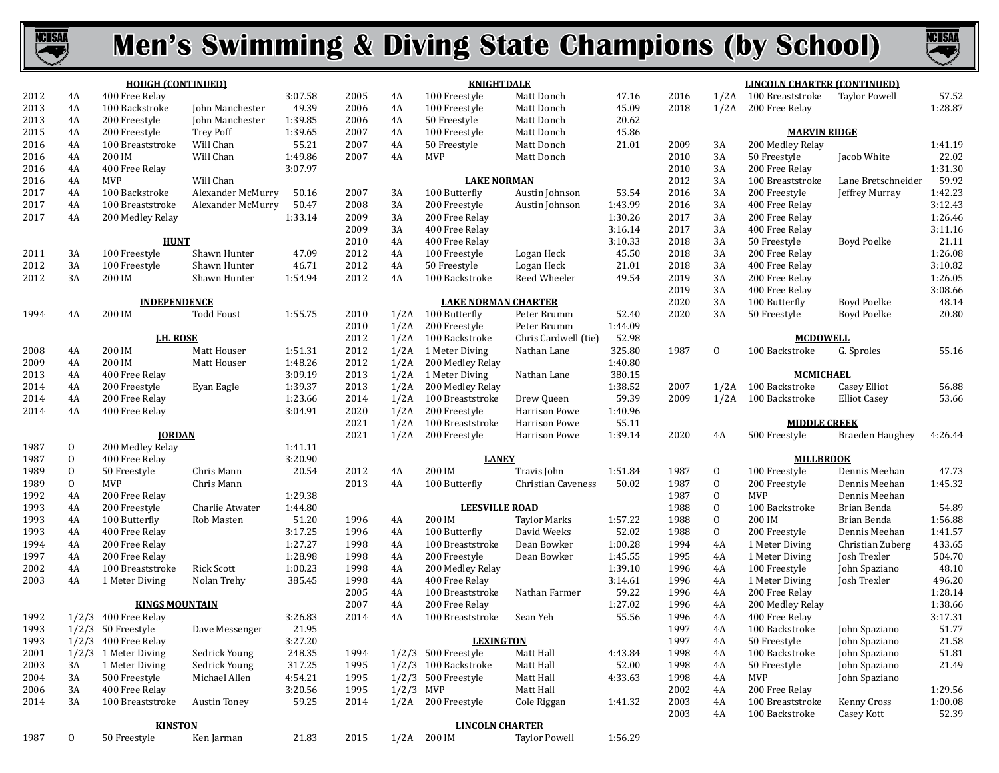



|      |              | <b>HOUGH (CONTINUED)</b>       |                     |         |      |             | <b>KNIGHTDALE</b>                     |                      |         |      |                | <b>LINCOLN CHARTER (CONTINUED)</b> |                     |         |
|------|--------------|--------------------------------|---------------------|---------|------|-------------|---------------------------------------|----------------------|---------|------|----------------|------------------------------------|---------------------|---------|
| 2012 | 4A           | 400 Free Relay                 |                     | 3:07.58 | 2005 | 4A          | 100 Freestyle                         | Matt Donch           | 47.16   | 2016 |                | 1/2A 100 Breaststroke              | Taylor Powell       | 57.52   |
| 2013 | 4A           | 100 Backstroke                 | John Manchester     | 49.39   | 2006 | 4A          | 100 Freestyle                         | Matt Donch           | 45.09   | 2018 | 1/2A           | 200 Free Relay                     |                     | 1:28.87 |
| 2013 | 4A           | 200 Freestyle                  | John Manchester     | 1:39.85 | 2006 | 4A          | 50 Freestyle                          | Matt Donch           | 20.62   |      |                |                                    |                     |         |
| 2015 | 4A           | 200 Freestyle                  | <b>Trey Poff</b>    | 1:39.65 | 2007 | 4A          | 100 Freestyle                         | Matt Donch           | 45.86   |      |                | <b>MARVIN RIDGE</b>                |                     |         |
| 2016 | 4A           | 100 Breaststroke               | Will Chan           | 55.21   | 2007 | 4A          | 50 Freestyle                          | Matt Donch           | 21.01   | 2009 | 3A             | 200 Medley Relay                   |                     | 1:41.19 |
| 2016 | 4A           | 200 IM                         | Will Chan           | 1:49.86 | 2007 | 4A          | MVP                                   | Matt Donch           |         | 2010 | 3A             | 50 Freestyle                       | Jacob White         | 22.02   |
| 2016 | 4A           | 400 Free Relay                 |                     | 3:07.97 |      |             |                                       |                      |         | 2010 | 3A             | 200 Free Relay                     |                     | 1:31.30 |
| 2016 | 4A           | <b>MVP</b>                     | Will Chan           |         |      |             | <b>LAKE NORMAN</b>                    |                      |         | 2012 | 3A             | 100 Breaststroke                   | Lane Bretschneider  | 59.92   |
| 2017 | 4A           | 100 Backstroke                 | Alexander McMurry   | 50.16   | 2007 | 3A          | 100 Butterfly                         | Austin Johnson       | 53.54   | 2016 | 3A             | 200 Freestyle                      | Jeffrey Murray      | 1:42.23 |
| 2017 | 4A           | 100 Breaststroke               | Alexander McMurry   | 50.47   | 2008 | 3A          | 200 Freestyle                         | Austin Johnson       | 1:43.99 | 2016 | 3A             | 400 Free Relay                     |                     | 3:12.43 |
| 2017 | 4A           | 200 Medley Relay               |                     | 1:33.14 | 2009 | 3A          | 200 Free Relay                        |                      | 1:30.26 | 2017 | 3A             | 200 Free Relay                     |                     | 1:26.46 |
|      |              |                                |                     |         | 2009 | 3A          | 400 Free Relay                        |                      | 3:16.14 | 2017 | 3A             | 400 Free Relay                     |                     | 3:11.16 |
|      |              | <b>HUNT</b>                    |                     |         | 2010 | 4A          | 400 Free Relay                        |                      | 3:10.33 | 2018 | 3A             | 50 Freestyle                       | <b>Boyd Poelke</b>  | 21.11   |
| 2011 | 3A           | 100 Freestyle                  | Shawn Hunter        | 47.09   | 2012 | 4A          | 100 Freestyle                         | Logan Heck           | 45.50   | 2018 | 3A             | 200 Free Relay                     |                     | 1:26.08 |
| 2012 | 3A           | 100 Freestyle                  | Shawn Hunter        | 46.71   | 2012 | 4A          | 50 Freestyle                          | Logan Heck           | 21.01   | 2018 | 3A             | 400 Free Relay                     |                     | 3:10.82 |
| 2012 | 3A           | 200 IM                         | Shawn Hunter        | 1:54.94 | 2012 | 4A          | 100 Backstroke                        | Reed Wheeler         | 49.54   | 2019 | 3A             | 200 Free Relay                     |                     | 1:26.05 |
|      |              |                                |                     |         |      |             |                                       |                      |         | 2019 | 3A             | 400 Free Relay                     |                     | 3:08.66 |
|      |              | <b>INDEPENDENCE</b>            |                     |         |      |             | <b>LAKE NORMAN CHARTER</b>            |                      |         | 2020 | 3A             | 100 Butterfly                      | Boyd Poelke         | 48.14   |
| 1994 | 4A           | 200 IM                         | <b>Todd Foust</b>   | 1:55.75 | 2010 |             | 1/2A 100 Butterfly                    | Peter Brumm          | 52.40   | 2020 | 3A             | 50 Freestyle                       | Boyd Poelke         | 20.80   |
|      |              |                                |                     |         | 2010 | 1/2A        | 200 Freestyle                         | Peter Brumm          | 1:44.09 |      |                |                                    |                     |         |
|      |              | <b>LH. ROSE</b>                |                     |         | 2012 |             | 1/2A 100 Backstroke                   | Chris Cardwell (tie) | 52.98   |      |                | <b>MCDOWELL</b>                    |                     |         |
| 2008 | 4A           | 200 IM                         | Matt Houser         | 1:51.31 | 2012 |             | 1/2A 1 Meter Diving                   | Nathan Lane          | 325.80  | 1987 | 0              | 100 Backstroke                     | G. Sproles          | 55.16   |
| 2009 | 4A           | 200 IM                         | Matt Houser         | 1:48.26 | 2012 | 1/2A        | 200 Medley Relay                      |                      | 1:40.80 |      |                |                                    |                     |         |
| 2013 | 4A           | 400 Free Relay                 |                     | 3:09.19 | 2013 |             | 1/2A 1 Meter Diving                   | Nathan Lane          | 380.15  |      |                | <b>MCMICHAEL</b>                   |                     |         |
| 2014 | 4A           | 200 Freestyle                  | Evan Eagle          | 1:39.37 | 2013 | 1/2A        | 200 Medley Relay                      |                      | 1:38.52 | 2007 |                | 1/2A 100 Backstroke                | Casey Elliot        | 56.88   |
| 2014 | 4A           | 200 Free Relay                 |                     | 1:23.66 | 2014 | 1/2A        | 100 Breaststroke                      | Drew Queen           | 59.39   | 2009 |                | 1/2A 100 Backstroke                | <b>Elliot Casey</b> | 53.66   |
| 2014 | 4A           | 400 Free Relay                 |                     | 3:04.91 | 2020 | 1/2A        | 200 Freestyle                         | Harrison Powe        | 1:40.96 |      |                |                                    |                     |         |
|      |              |                                |                     |         |      |             |                                       |                      |         |      |                | <b>MIDDLE CREEK</b>                |                     |         |
|      |              |                                |                     |         | 2021 | 1/2A        | 100 Breaststroke                      | Harrison Powe        | 55.11   |      |                |                                    |                     |         |
|      |              | <b>IORDAN</b>                  |                     |         | 2021 | 1/2A        | 200 Freestyle                         | Harrison Powe        | 1:39.14 | 2020 | 4A             | 500 Freestyle                      | Braeden Haughey     | 4:26.44 |
| 1987 | 0            | 200 Medley Relay               |                     | 1:41.11 |      |             |                                       |                      |         |      |                |                                    |                     |         |
| 1987 | 0            | 400 Free Relay                 |                     | 3:20.90 |      |             | <b>LANEY</b>                          |                      |         |      |                | <b>MILLBROOK</b>                   |                     |         |
| 1989 | 0            | 50 Freestyle                   | Chris Mann          | 20.54   | 2012 | 4A          | 200 IM                                | Travis John          | 1:51.84 | 1987 | 0              | 100 Freestyle                      | Dennis Meehan       | 47.73   |
| 1989 | 0            | <b>MVP</b>                     | Chris Mann          |         | 2013 | 4A          | 100 Butterfly                         | Christian Caveness   | 50.02   | 1987 | 0              | 200 Freestyle                      | Dennis Meehan       | 1:45.32 |
| 1992 | 4A           | 200 Free Relay                 |                     | 1:29.38 |      |             |                                       |                      |         | 1987 | $\mathbf{0}$   | MVP                                | Dennis Meehan       |         |
| 1993 | 4A           | 200 Freestyle                  | Charlie Atwater     | 1:44.80 |      |             | <b>LEESVILLE ROAD</b>                 |                      |         | 1988 | 0              | 100 Backstroke                     | Brian Benda         | 54.89   |
| 1993 | 4A           | 100 Butterfly                  | Rob Masten          | 51.20   | 1996 | 4A          | 200 IM                                | <b>Taylor Marks</b>  | 1:57.22 | 1988 | 0              | 200 IM                             | Brian Benda         | 1:56.88 |
| 1993 | 4A           | 400 Free Relay                 |                     | 3:17.25 | 1996 | 4A          | 100 Butterfly                         | David Weeks          | 52.02   | 1988 | $\overline{0}$ | 200 Freestyle                      | Dennis Meehan       | 1:41.57 |
| 1994 | 4A           | 200 Free Relay                 |                     | 1:27.27 | 1998 | 4A          | 100 Breaststroke                      | Dean Bowker          | 1:00.28 | 1994 | 4A             | 1 Meter Diving                     | Christian Zuberg    | 433.65  |
| 1997 | 4A           | 200 Free Relay                 |                     | 1:28.98 | 1998 | 4A          | 200 Freestyle                         | Dean Bowker          | 1:45.55 | 1995 | 4A             | 1 Meter Diving                     | Josh Trexler        | 504.70  |
| 2002 | 4A           | 100 Breaststroke               | <b>Rick Scott</b>   | 1:00.23 | 1998 | 4A          | 200 Medley Relay                      |                      | 1:39.10 | 1996 | 4A             | 100 Freestyle                      | John Spaziano       | 48.10   |
| 2003 | 4A           | 1 Meter Diving                 | Nolan Trehy         | 385.45  | 1998 | 4A          | 400 Free Relay                        |                      | 3:14.61 | 1996 | 4A             | 1 Meter Diving                     | Josh Trexler        | 496.20  |
|      |              |                                |                     |         | 2005 | 4A          | 100 Breaststroke                      | Nathan Farmer        | 59.22   | 1996 | 4A             | 200 Free Relay                     |                     | 1:28.14 |
|      |              | <b>KINGS MOUNTAIN</b>          |                     |         | 2007 | 4A          | 200 Free Relay                        |                      | 1:27.02 | 1996 | 4A             | 200 Medley Relay                   |                     | 1:38.66 |
| 1992 |              | 1/2/3 400 Free Relay           |                     | 3:26.83 | 2014 | 4A          | 100 Breaststroke                      | Sean Yeh             | 55.56   | 1996 | 4A             | 400 Free Relay                     |                     | 3:17.31 |
| 1993 |              | $1/2/3$ 50 Freestyle           | Dave Messenger      | 21.95   |      |             |                                       |                      |         | 1997 | 4A             | 100 Backstroke                     | John Spaziano       | 51.77   |
| 1993 |              | 1/2/3 400 Free Relay           |                     | 3:27.20 |      |             | <b>LEXINGTON</b>                      |                      |         | 1997 | 4A             | 50 Freestyle                       | John Spaziano       | 21.58   |
| 2001 |              | 1/2/3 1 Meter Diving           | Sedrick Young       | 248.35  | 1994 |             | 1/2/3 500 Freestyle                   | Matt Hall            | 4:43.84 | 1998 | 4Α             | 100 Backstroke                     | John Spaziano       | 51.81   |
| 2003 | 3A           | 1 Meter Diving                 | Sedrick Young       | 317.25  | 1995 |             | 1/2/3 100 Backstroke                  | Matt Hall            | 52.00   | 1998 | 4A             | 50 Freestyle                       | John Spaziano       | 21.49   |
| 2004 | 3A           | 500 Freestyle                  | Michael Allen       | 4:54.21 | 1995 |             | 1/2/3 500 Freestyle                   | Matt Hall            | 4:33.63 | 1998 | 4Α             | MVP                                | John Spaziano       |         |
| 2006 | 3A           | 400 Free Relay                 |                     | 3:20.56 | 1995 | $1/2/3$ MVP |                                       | Matt Hall            |         | 2002 | 4Α             | 200 Free Relay                     |                     | 1:29.56 |
| 2014 | 3A           | 100 Breaststroke               | <b>Austin Toney</b> | 59.25   | 2014 |             | 1/2A 200 Freestyle                    | Cole Riggan          | 1:41.32 | 2003 | 4Α             | 100 Breaststroke                   | Kenny Cross         | 1:00.08 |
|      |              |                                |                     |         |      |             |                                       |                      |         | 2003 | 4A             | 100 Backstroke                     | Casey Kott          | 52.39   |
| 1987 | $\mathbf{0}$ | <b>KINSTON</b><br>50 Freestyle | Ken Jarman          | 21.83   | 2015 |             | <b>LINCOLN CHARTER</b><br>1/2A 200 IM | <b>Taylor Powell</b> | 1:56.29 |      |                |                                    |                     |         |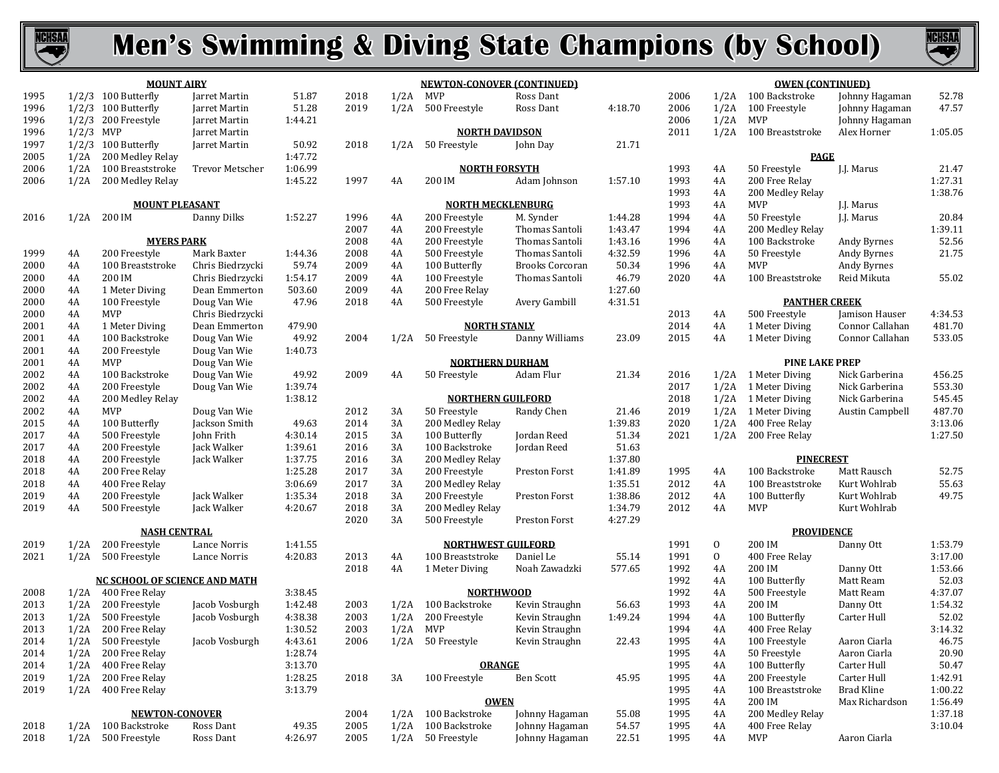



|      |       | <b>MOUNT AIRY</b>                    |                  |         |      |
|------|-------|--------------------------------------|------------------|---------|------|
| 1995 | 1/2/3 | 100 Butterfly                        | Jarret Martin    | 51.87   | 2018 |
| 1996 | 1/2/3 | 100 Butterfly                        | Jarret Martin    | 51.28   | 2019 |
| 1996 | 1/2/3 | 200 Freestyle                        | Jarret Martin    | 1:44.21 |      |
| 1996 | 1/2/3 | <b>MVP</b>                           | Jarret Martin    |         |      |
| 1997 | 1/2/3 | 100 Butterfly                        | Jarret Martin    | 50.92   | 2018 |
| 2005 | 1/2A  | 200 Medley Relay                     |                  | 1:47.72 |      |
| 2006 | 1/2A  | 100 Breaststroke                     | Trevor Metscher  | 1:06.99 |      |
| 2006 | 1/2A  | 200 Medley Relay                     |                  | 1:45.22 | 1997 |
|      |       | <b>MOUNT PLEASANT</b>                |                  |         |      |
| 2016 | 1/2A  | 200 IM                               | Danny Dilks      | 1:52.27 | 1996 |
|      |       |                                      |                  |         | 2007 |
|      |       | <b>MYERS PARK</b>                    |                  |         | 2008 |
| 1999 | 4A    | 200 Freestyle                        | Mark Baxter      | 1:44.36 | 2008 |
| 2000 | 4A    | 100 Breaststroke                     | Chris Biedrzycki | 59.74   | 2009 |
| 2000 | 4A    | 200 IM                               | Chris Biedrzycki | 1:54.17 | 2009 |
| 2000 | 4A    | 1 Meter Diving                       | Dean Emmerton    | 503.60  | 2009 |
| 2000 | 4A    | 100 Freestyle                        | Doug Van Wie     | 47.96   | 2018 |
| 2000 | 4A    | <b>MVP</b>                           | Chris Biedrzycki |         |      |
| 2001 | 4A    | 1 Meter Diving                       | Dean Emmerton    | 479.90  |      |
| 2001 | 4A    | 100 Backstroke                       | Doug Van Wie     | 49.92   | 2004 |
| 2001 | 4A    | 200 Freestyle                        | Doug Van Wie     | 1:40.73 |      |
| 2001 | 4A    | <b>MVP</b>                           | Doug Van Wie     |         |      |
| 2002 | 4A    | 100 Backstroke                       | Doug Van Wie     | 49.92   | 2009 |
| 2002 | 4A    | 200 Freestyle                        | Doug Van Wie     | 1:39.74 |      |
| 2002 | 4A    | 200 Medley Relay                     |                  | 1:38.12 |      |
| 2002 | 4A    | <b>MVP</b>                           | Doug Van Wie     |         | 2012 |
| 2015 | 4A    | 100 Butterfly                        | Jackson Smith    | 49.63   | 2014 |
| 2017 | 4A    | 500 Freestyle                        | John Frith       | 4:30.14 | 2015 |
| 2017 | 4A    | 200 Freestyle                        | Jack Walker      | 1:39.61 | 2016 |
| 2018 | 4A    | 200 Freestyle                        | Jack Walker      | 1:37.75 | 2016 |
| 2018 | 4A    | 200 Free Relay                       |                  | 1:25.28 | 2017 |
| 2018 | 4A    | 400 Free Relay                       |                  | 3:06.69 | 2017 |
| 2019 | 4A    | 200 Freestyle                        | Jack Walker      | 1:35.34 | 2018 |
| 2019 | 4A    | 500 Freestyle                        | Jack Walker      | 4:20.67 | 2018 |
|      |       |                                      |                  |         | 2020 |
|      |       | <b>NASH CENTRAL</b>                  |                  |         |      |
| 2019 | 1/2A  | 200 Freestyle                        | Lance Norris     | 1:41.55 |      |
| 2021 | 1/2A  | 500 Freestyle                        | Lance Norris     | 4:20.83 | 2013 |
|      |       | <b>NC SCHOOL OF SCIENCE AND MATH</b> |                  |         | 2018 |
| 2008 | 1/2A  | 400 Free Relay                       |                  | 3:38.45 |      |
| 2013 | 1/2A  | 200 Freestyle                        | Jacob Vosburgh   | 1:42.48 | 2003 |
| 2013 | 1/2A  | 500 Freestyle                        | Jacob Vosburgh   | 4:38.38 | 2003 |
| 2013 | 1/2A  | 200 Free Relay                       |                  | 1:30.52 | 2003 |
| 2014 | 1/2A  | 500 Freestyle                        | Jacob Vosburgh   | 4:43.61 | 2006 |
| 2014 | 1/2A  | 200 Free Relay                       |                  | 1:28.74 |      |
| 2014 | 1/2A  | 400 Free Relay                       |                  | 3:13.70 |      |
| 2019 | 1/2A  | 200 Free Relay                       |                  | 1:28.25 | 2018 |
| 2019 | 1/2A  | 400 Free Relay                       |                  | 3:13.79 |      |
|      |       | <b>NEWTON-CONOVER</b>                |                  |         | 2004 |
| 2018 | 1/2A  | 100 Backstroke                       | Ross Dant        | 49.35   | 2005 |
|      |       |                                      |                  |         |      |

1/2A 500 Freestyle Ross Dant 4:26.97

|      |      | <b>NEWTON-CONOVER (CONTINUED)</b>  |                        |         |
|------|------|------------------------------------|------------------------|---------|
| 2018 | 1/2A | <b>MVP</b>                         | Ross Dant              |         |
| 2019 | 1/2A | 500 Freestyle                      | Ross Dant              | 4:18.70 |
|      |      |                                    |                        |         |
|      |      | <b>NORTH DAVIDSON</b>              |                        |         |
| 2018 | 1/2A | 50 Freestyle                       | John Day               | 21.71   |
|      |      | <b>NORTH FORSYTH</b>               |                        |         |
| 1997 | 4A   | 200 IM                             | Adam Johnson           | 1:57.10 |
|      |      |                                    |                        |         |
|      |      | <b>NORTH MECKLENBURG</b>           |                        |         |
| 1996 | 4A   | 200 Freestyle                      | M. Synder              | 1:44.28 |
| 2007 | 4A   | 200 Freestyle                      | Thomas Santoli         | 1:43.47 |
| 2008 | 4A   | 200 Freestyle                      | Thomas Santoli         | 1:43.16 |
| 2008 | 4A   | 500 Freestyle                      | Thomas Santoli         | 4:32.59 |
| 2009 | 4A   | 100 Butterfly                      | <b>Brooks Corcoran</b> | 50.34   |
| 2009 | 4A   | 100 Freestyle                      | Thomas Santoli         | 46.79   |
| 2009 | 4A   | 200 Free Relay                     |                        | 1:27.60 |
| 2018 | 4A   | 500 Freestyle                      | Avery Gambill          | 4:31.51 |
|      |      |                                    |                        |         |
|      |      | <b>NORTH STANLY</b>                |                        |         |
| 2004 | 1/2A | 50 Freestyle                       | Danny Williams         | 23.09   |
|      |      | <b>NORTHERN DURHAM</b>             |                        |         |
| 2009 | 4A   | 50 Freestyle                       | Adam Flur              | 21.34   |
|      |      |                                    |                        |         |
|      |      | <b>NORTHERN GUILFORD</b>           |                        |         |
| 2012 | 3A   | 50 Freestyle                       | Randy Chen             | 21.46   |
| 2014 | 3A   | 200 Medley Relay                   |                        | 1:39.83 |
| 2015 | 3A   | 100 Butterfly                      | Jordan Reed            | 51.34   |
| 2016 | 3A   | 100 Backstroke                     | Jordan Reed            | 51.63   |
| 2016 | 3A   | 200 Medley Relay                   |                        | 1:37.80 |
| 2017 | 3A   | 200 Freestyle                      | Preston Forst          | 1:41.89 |
| 2017 | 3A   | 200 Medley Relay                   |                        | 1:35.51 |
| 2018 | 3A   | 200 Freestyle                      | <b>Preston Forst</b>   | 1:38.86 |
| 2018 | 3A   | 200 Medley Relay                   |                        | 1:34.79 |
| 2020 | 3A   | 500 Freestyle                      | Preston Forst          | 4:27.29 |
|      |      |                                    |                        |         |
|      |      | <b>NORTHWEST GUILFORD</b>          |                        |         |
| 2013 | 4A   | 100 Breaststroke                   | Daniel Le              | 55.14   |
| 2018 | 4A   | 1 Meter Diving                     | Noah Zawadzki          | 577.65  |
|      |      |                                    |                        |         |
|      |      | <b>NORTHWOOD</b><br>100 Backstroke | Kevin Straughn         |         |
| 2003 | 1/2A |                                    |                        | 56.63   |
| 2003 | 1/2A | 200 Freestyle                      | Kevin Straughn         | 1:49.24 |
| 2003 | 1/2A | MVP                                | Kevin Straughn         |         |
| 2006 |      | 1/2A 50 Freestyle                  | Kevin Straughn         | 22.43   |
|      |      | <b>ORANGE</b>                      |                        |         |
| 2018 | 3A   | 100 Freestyle                      | <b>Ben Scott</b>       | 45.95   |
|      |      |                                    |                        |         |
| 2004 | 1/2A | <b>OWEN</b><br>100 Backstroke      | Johnny Hagaman         | 55.08   |
| 2005 |      | 100 Backstroke                     | Johnny Hagaman         | 54.57   |
|      | 1/2A |                                    |                        |         |
| 2005 | 1/2A | 50 Freestyle                       | Johnny Hagaman         | 22.51   |

| <b>OWEN (CONTINUED)</b> |      |                                       |                        |                  |  |  |  |  |  |  |
|-------------------------|------|---------------------------------------|------------------------|------------------|--|--|--|--|--|--|
| 2006                    | 1/2A | 100 Backstroke                        | Johnny Hagaman         | 52.78            |  |  |  |  |  |  |
| 2006                    | 1/2A | 100 Freestyle                         | Johnny Hagaman         | 47.57            |  |  |  |  |  |  |
| 2006                    | 1/2A | MVP                                   | Johnny Hagaman         |                  |  |  |  |  |  |  |
| 2011                    | 1/2A | 100 Breaststroke                      | Alex Horner            | 1:05.05          |  |  |  |  |  |  |
|                         |      |                                       |                        |                  |  |  |  |  |  |  |
|                         |      | PAGE                                  |                        |                  |  |  |  |  |  |  |
| 1993                    | 4A   | 50 Freestyle                          | J.J. Marus             | 21.47            |  |  |  |  |  |  |
| 1993                    | 4A   | 200 Free Relay                        |                        | 1:27.31          |  |  |  |  |  |  |
| 1993                    | 4A   | 200 Medley Relay                      |                        | 1:38.76          |  |  |  |  |  |  |
| 1993                    | 4A   | MVP                                   | <b>I.I. Marus</b>      |                  |  |  |  |  |  |  |
| 1994                    | 4A   | 50 Freestyle                          | <b>I.I. Marus</b>      | 20.84            |  |  |  |  |  |  |
| 1994                    | 4A   | 200 Medley Relay                      |                        | 1:39.11          |  |  |  |  |  |  |
| 1996                    | 4A   | 100 Backstroke                        | Andy Byrnes            | 52.56            |  |  |  |  |  |  |
| 1996                    | 4A   | 50 Freestyle                          | Andy Byrnes            | 21.75            |  |  |  |  |  |  |
| 1996                    | 4A   | MVP                                   | Andy Byrnes            |                  |  |  |  |  |  |  |
| 2020                    | 4A   | 100 Breaststroke                      | Reid Mikuta            | 55.02            |  |  |  |  |  |  |
|                         |      |                                       |                        |                  |  |  |  |  |  |  |
| 2013                    | 4A   | <b>PANTHER CREEK</b><br>500 Freestyle |                        |                  |  |  |  |  |  |  |
|                         |      |                                       | Jamison Hauser         | 4:34.53          |  |  |  |  |  |  |
| 2014                    | 4A   | 1 Meter Diving                        | Connor Callahan        | 481.70<br>533.05 |  |  |  |  |  |  |
| 2015                    | 4A   | 1 Meter Diving                        | Connor Callahan        |                  |  |  |  |  |  |  |
|                         |      | <b>PINE LAKE PREP</b>                 |                        |                  |  |  |  |  |  |  |
| 2016                    | 1/2A | 1 Meter Diving                        | Nick Garberina         | 456.25           |  |  |  |  |  |  |
| 2017                    | 1/2A | 1 Meter Diving                        | Nick Garberina         | 553.30           |  |  |  |  |  |  |
| 2018                    | 1/2A | 1 Meter Diving                        | Nick Garberina         | 545.45           |  |  |  |  |  |  |
| 2019                    | 1/2A | 1 Meter Diving                        | <b>Austin Campbell</b> | 487.70           |  |  |  |  |  |  |
| 2020                    | 1/2A | 400 Free Relay                        |                        | 3:13.06          |  |  |  |  |  |  |
| 2021                    | 1/2A | 200 Free Relay                        |                        | 1:27.50          |  |  |  |  |  |  |
|                         |      | <b>PINECREST</b>                      |                        |                  |  |  |  |  |  |  |
| 1995                    | 4A   | 100 Backstroke                        | Matt Rausch            | 52.75            |  |  |  |  |  |  |
| 2012                    | 4A   | 100 Breaststroke                      | Kurt Wohlrab           | 55.63            |  |  |  |  |  |  |
| 2012                    | 4A   | 100 Butterfly                         | Kurt Wohlrab           | 49.75            |  |  |  |  |  |  |
| 2012                    | 4A   | <b>MVP</b>                            | Kurt Wohlrab           |                  |  |  |  |  |  |  |
|                         |      |                                       |                        |                  |  |  |  |  |  |  |
|                         |      | <b>PROVIDENCE</b>                     |                        |                  |  |  |  |  |  |  |
| 1991                    | 0    | 200 IM                                | Danny Ott              | 1:53.79          |  |  |  |  |  |  |
| 1991                    | 0    | 400 Free Relay                        |                        | 3:17.00          |  |  |  |  |  |  |
| 1992                    | 4A   | 200 IM                                | Danny Ott              | 1:53.66          |  |  |  |  |  |  |
| 1992                    | 4A   | 100 Butterfly                         | Matt Ream              | 52.03            |  |  |  |  |  |  |
| 1992                    | 4A   | 500 Freestyle                         | Matt Ream              | 4:37.07          |  |  |  |  |  |  |
| 1993                    | 4A   | 200 IM                                | Danny Ott              | 1:54.32          |  |  |  |  |  |  |
| 1994                    | 4A   | 100 Butterfly                         | Carter Hull            | 52.02            |  |  |  |  |  |  |
| 1994                    | 4A   | 400 Free Relay                        |                        | 3:14.32          |  |  |  |  |  |  |
| 1995                    | 4Α   | 100 Freestyle                         | Aaron Ciarla           | 46.75            |  |  |  |  |  |  |
| 1995                    | 4Α   | 50 Freestyle                          | Aaron Ciarla           | 20.90            |  |  |  |  |  |  |
| 1995                    | 4A   | 100 Butterfly                         | Carter Hull            | 50.47            |  |  |  |  |  |  |
| 1995                    | 4A   | 200 Freestyle                         | Carter Hull            | 1:42.91          |  |  |  |  |  |  |
| 1995                    | 4A   | 100 Breaststroke                      | Brad Kline             | 1:00.22          |  |  |  |  |  |  |
| 1995                    | 4Α   | 200 IM                                | Max Richardson         | 1:56.49          |  |  |  |  |  |  |
| 1995                    | 4A   | 200 Medley Relay                      |                        | 1:37.18          |  |  |  |  |  |  |
| 1995                    | 4Α   | 400 Free Relay                        |                        | 3:10.04          |  |  |  |  |  |  |
| 1995                    | 4A   | <b>MVP</b>                            | Aaron Ciarla           |                  |  |  |  |  |  |  |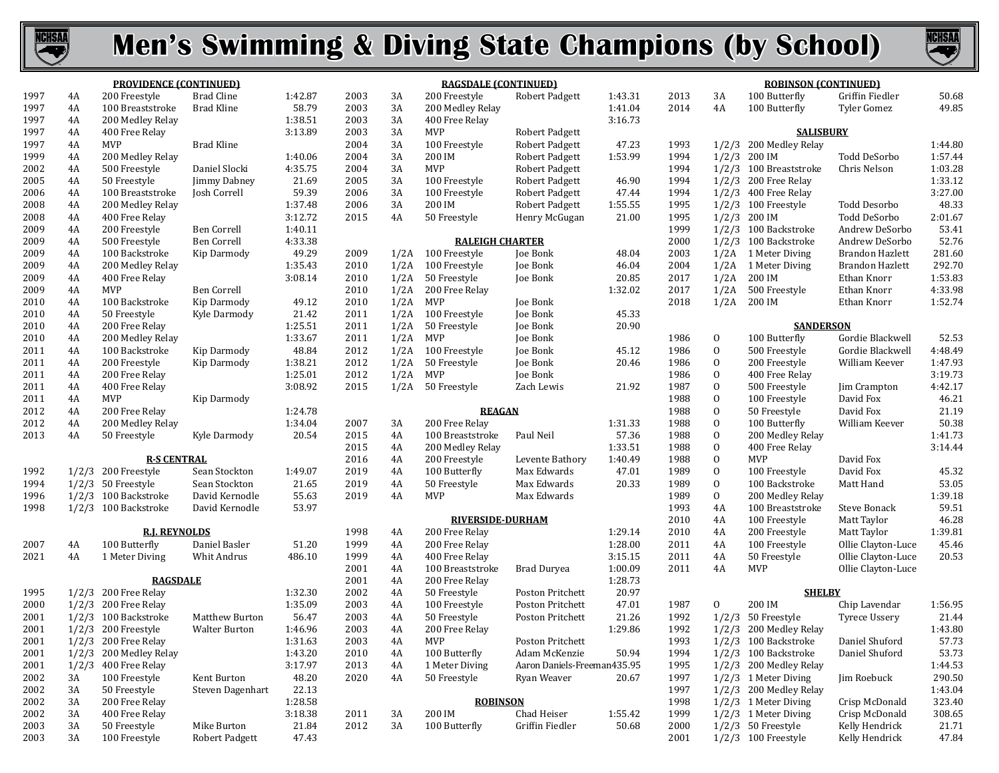



| <b>PROVIDENCE (CONTINUED)</b><br>1997<br><b>Brad Cline</b><br>3A<br>4A<br>200 Freestyle<br>1:42.87<br>2003<br>3A<br>200 Freestyle<br>Robert Padgett<br>1:43.31<br>2013<br>100 Butterfly<br>1997<br><b>Brad Kline</b><br>58.79<br>2003<br>3A<br>1:41.04<br>2014<br>4A<br>4A<br>100 Breaststroke<br>200 Medley Relay<br>100 Butterfly<br>1997<br>1:38.51<br>2003<br>3A<br>3:16.73<br>4A<br>200 Medley Relay<br>400 Free Relay<br>1997<br>3:13.89<br>3A<br><b>MVP</b><br><b>SALISBURY</b><br>4A<br>400 Free Relay<br>2003<br><b>Robert Padgett</b><br>1997<br>4A<br>MVP<br><b>Brad Kline</b><br>2004<br>3A<br>100 Freestyle<br>1993<br>$1/2/3$ 200 Medley Relay<br>Robert Padgett<br>47.23<br>1999<br>4A<br>3A<br>$1/2/3$ 200 IM<br>200 Medley Relay<br>1:40.06<br>2004<br>200 IM<br>Robert Padgett<br>1:53.99<br>1994<br>2002<br>4A<br>Daniel Slocki<br>4:35.75<br>2004<br>3A<br><b>MVP</b><br>1/2/3 100 Breaststroke<br>500 Freestyle<br>Robert Padgett<br>1994<br>2005<br>4A<br>3A<br>100 Freestyle<br>1994<br>50 Freestyle<br>Jimmy Dabney<br>21.69<br>2005<br><b>Robert Padgett</b><br>46.90<br>$1/2/3$ 200 Free Relay | Griffin Fiedler<br>Tyler Gomez<br>1:44.80<br>Todd DeSorbo | 50.68<br>49.85  |
|--------------------------------------------------------------------------------------------------------------------------------------------------------------------------------------------------------------------------------------------------------------------------------------------------------------------------------------------------------------------------------------------------------------------------------------------------------------------------------------------------------------------------------------------------------------------------------------------------------------------------------------------------------------------------------------------------------------------------------------------------------------------------------------------------------------------------------------------------------------------------------------------------------------------------------------------------------------------------------------------------------------------------------------------------------------------------------------------------------------------------|-----------------------------------------------------------|-----------------|
|                                                                                                                                                                                                                                                                                                                                                                                                                                                                                                                                                                                                                                                                                                                                                                                                                                                                                                                                                                                                                                                                                                                          |                                                           |                 |
|                                                                                                                                                                                                                                                                                                                                                                                                                                                                                                                                                                                                                                                                                                                                                                                                                                                                                                                                                                                                                                                                                                                          |                                                           |                 |
|                                                                                                                                                                                                                                                                                                                                                                                                                                                                                                                                                                                                                                                                                                                                                                                                                                                                                                                                                                                                                                                                                                                          |                                                           |                 |
|                                                                                                                                                                                                                                                                                                                                                                                                                                                                                                                                                                                                                                                                                                                                                                                                                                                                                                                                                                                                                                                                                                                          |                                                           |                 |
|                                                                                                                                                                                                                                                                                                                                                                                                                                                                                                                                                                                                                                                                                                                                                                                                                                                                                                                                                                                                                                                                                                                          |                                                           |                 |
|                                                                                                                                                                                                                                                                                                                                                                                                                                                                                                                                                                                                                                                                                                                                                                                                                                                                                                                                                                                                                                                                                                                          |                                                           | 1:57.44         |
|                                                                                                                                                                                                                                                                                                                                                                                                                                                                                                                                                                                                                                                                                                                                                                                                                                                                                                                                                                                                                                                                                                                          | Chris Nelson                                              | 1:03.28         |
|                                                                                                                                                                                                                                                                                                                                                                                                                                                                                                                                                                                                                                                                                                                                                                                                                                                                                                                                                                                                                                                                                                                          |                                                           | 1:33.12         |
| 2006<br>Josh Correll<br>59.39<br>2006<br>3A<br>100 Freestyle<br>1994<br>1/2/3 400 Free Relay<br>4A<br>100 Breaststroke<br><b>Robert Padgett</b><br>47.44                                                                                                                                                                                                                                                                                                                                                                                                                                                                                                                                                                                                                                                                                                                                                                                                                                                                                                                                                                 |                                                           | 3:27.00         |
| 2008<br>4A<br>2006<br>3A<br>200 IM<br>200 Medley Relay<br>1:37.48<br>Robert Padgett<br>1:55.55<br>1995<br>$1/2/3$ 100 Freestyle                                                                                                                                                                                                                                                                                                                                                                                                                                                                                                                                                                                                                                                                                                                                                                                                                                                                                                                                                                                          | Todd Desorbo                                              | 48.33           |
| 2008<br>4A<br>3:12.72<br>4A<br>400 Free Relay<br>2015<br>50 Freestyle<br>Henry McGugan<br>21.00<br>1995<br>$1/2/3$ 200 IM                                                                                                                                                                                                                                                                                                                                                                                                                                                                                                                                                                                                                                                                                                                                                                                                                                                                                                                                                                                                | Todd DeSorbo                                              | 2:01.67         |
| 2009<br>1/2/3 100 Backstroke<br>4A<br>200 Freestyle<br>Ben Correll<br>1:40.11<br>1999                                                                                                                                                                                                                                                                                                                                                                                                                                                                                                                                                                                                                                                                                                                                                                                                                                                                                                                                                                                                                                    | Andrew DeSorbo                                            | 53.41           |
| 2009<br>4A<br><b>Ben Correll</b><br>4:33.38<br><b>RALEIGH CHARTER</b><br>2000<br>500 Freestyle<br>$1/2/3$ 100 Backstroke                                                                                                                                                                                                                                                                                                                                                                                                                                                                                                                                                                                                                                                                                                                                                                                                                                                                                                                                                                                                 | Andrew DeSorbo                                            | 52.76           |
| 2009<br>49.29<br>2009<br>1/2A 100 Freestyle<br>4A<br>100 Backstroke<br>Kip Darmody<br>Joe Bonk<br>48.04<br>2003<br>1/2A 1 Meter Diving                                                                                                                                                                                                                                                                                                                                                                                                                                                                                                                                                                                                                                                                                                                                                                                                                                                                                                                                                                                   | <b>Brandon Hazlett</b>                                    | 281.60          |
| 2009<br>4A<br>2010<br>2004<br>200 Medley Relay<br>1:35.43<br>1/2A 100 Freestyle<br>Joe Bonk<br>46.04<br>1/2A 1 Meter Diving                                                                                                                                                                                                                                                                                                                                                                                                                                                                                                                                                                                                                                                                                                                                                                                                                                                                                                                                                                                              | <b>Brandon Hazlett</b>                                    | 292.70          |
| 2009<br>4A<br>400 Free Relay<br>3:08.14<br>2010<br>1/2A 50 Freestyle<br>Joe Bonk<br>20.85<br>2017<br>1/2A<br>200 IM                                                                                                                                                                                                                                                                                                                                                                                                                                                                                                                                                                                                                                                                                                                                                                                                                                                                                                                                                                                                      | Ethan Knorr                                               | 1:53.83         |
| 2009<br>MVP<br><b>Ben Correll</b><br>2010<br>200 Free Relay<br>1:32.02<br>2017<br>1/2A<br>500 Freestyle<br>4A<br>1/2A                                                                                                                                                                                                                                                                                                                                                                                                                                                                                                                                                                                                                                                                                                                                                                                                                                                                                                                                                                                                    | Ethan Knorr                                               | 4:33.98         |
| 2010<br>4A<br>2010<br>2018<br>1/2A<br>200 IM<br>100 Backstroke<br>Kip Darmody<br>49.12<br>$1/2A$ MVP<br>Joe Bonk                                                                                                                                                                                                                                                                                                                                                                                                                                                                                                                                                                                                                                                                                                                                                                                                                                                                                                                                                                                                         | Ethan Knorr                                               | 1:52.74         |
| 2010<br>Kyle Darmody<br>2011<br>1/2A 100 Freestyle<br>45.33<br>4A<br>50 Freestyle<br>21.42<br>Joe Bonk                                                                                                                                                                                                                                                                                                                                                                                                                                                                                                                                                                                                                                                                                                                                                                                                                                                                                                                                                                                                                   |                                                           |                 |
| 2010<br>4A<br>2011<br>200 Free Relay<br>1:25.51<br>1/2A 50 Freestyle<br>Joe Bonk<br>20.90<br><b>SANDERSON</b>                                                                                                                                                                                                                                                                                                                                                                                                                                                                                                                                                                                                                                                                                                                                                                                                                                                                                                                                                                                                            |                                                           |                 |
| 2010<br>4A<br>$1/2A$ MVP<br>$\mathbf{0}$<br>200 Medley Relay<br>1:33.67<br>2011<br>Joe Bonk<br>1986<br>100 Butterfly                                                                                                                                                                                                                                                                                                                                                                                                                                                                                                                                                                                                                                                                                                                                                                                                                                                                                                                                                                                                     | Gordie Blackwell                                          | 52.53           |
| 2011<br>48.84<br>2012<br>45.12<br>1986<br>$\mathbf{0}$<br>4A<br>100 Backstroke<br>Kip Darmody<br>1/2A 100 Freestyle<br>Joe Bonk<br>500 Freestyle                                                                                                                                                                                                                                                                                                                                                                                                                                                                                                                                                                                                                                                                                                                                                                                                                                                                                                                                                                         | Gordie Blackwell                                          | 4:48.49         |
| 2011<br>2012<br>50 Freestyle<br>20.46<br>1986<br>$\mathbf 0$<br>4A<br>200 Freestyle<br>1:38.21<br>1/2A<br>Joe Bonk<br>200 Freestyle<br>Kip Darmody                                                                                                                                                                                                                                                                                                                                                                                                                                                                                                                                                                                                                                                                                                                                                                                                                                                                                                                                                                       | William Keever                                            | 1:47.93         |
| 2011<br>1:25.01<br>2012<br>$1/2A$ MVP<br>1986<br>$\mathbf{0}$<br>4A<br>200 Free Relay<br>Joe Bonk<br>400 Free Relay                                                                                                                                                                                                                                                                                                                                                                                                                                                                                                                                                                                                                                                                                                                                                                                                                                                                                                                                                                                                      |                                                           | 3:19.73         |
| $\mathbf{0}$<br>2011<br>4A<br>3:08.92<br>2015<br>1987<br>400 Free Relay<br>1/2A 50 Freestyle<br>Zach Lewis<br>21.92<br>500 Freestyle                                                                                                                                                                                                                                                                                                                                                                                                                                                                                                                                                                                                                                                                                                                                                                                                                                                                                                                                                                                     | <b>Jim Crampton</b>                                       | 4:42.17         |
| $\mathbf{0}$<br>4A<br><b>MVP</b><br>2011<br>1988<br>100 Freestyle<br>Kip Darmody                                                                                                                                                                                                                                                                                                                                                                                                                                                                                                                                                                                                                                                                                                                                                                                                                                                                                                                                                                                                                                         | David Fox                                                 | 46.21           |
| 2012<br><b>REAGAN</b><br>1988<br>$\mathbf{0}$<br>4A<br>200 Free Relay<br>1:24.78<br>50 Freestyle                                                                                                                                                                                                                                                                                                                                                                                                                                                                                                                                                                                                                                                                                                                                                                                                                                                                                                                                                                                                                         | David Fox                                                 | 21.19           |
| 2012<br>$\mathbf{0}$<br>4A<br>1:34.04<br>2007<br>3A<br>200 Free Relay<br>1:31.33<br>1988<br>200 Medley Relay<br>100 Butterfly                                                                                                                                                                                                                                                                                                                                                                                                                                                                                                                                                                                                                                                                                                                                                                                                                                                                                                                                                                                            | William Keever                                            | 50.38           |
| 2013<br>20.54<br>2015<br>4A<br>100 Breaststroke<br>57.36<br>1988<br>$\mathbf{0}$<br>4A<br>50 Freestyle<br>Kyle Darmody<br>Paul Neil<br>200 Medley Relay                                                                                                                                                                                                                                                                                                                                                                                                                                                                                                                                                                                                                                                                                                                                                                                                                                                                                                                                                                  |                                                           | 1:41.73         |
| $\mathbf{0}$<br>2015<br>1:33.51<br>1988<br>4A<br>200 Medley Relay<br>400 Free Relay                                                                                                                                                                                                                                                                                                                                                                                                                                                                                                                                                                                                                                                                                                                                                                                                                                                                                                                                                                                                                                      |                                                           | 3:14.44         |
| $\mathbf{0}$<br><b>R-S CENTRAL</b><br>2016<br>4A<br>200 Freestyle<br>Levente Bathory<br>1:40.49<br>1988<br>MVP                                                                                                                                                                                                                                                                                                                                                                                                                                                                                                                                                                                                                                                                                                                                                                                                                                                                                                                                                                                                           | David Fox                                                 |                 |
| 1992<br>2019<br>100 Butterfly<br>Max Edwards<br>47.01<br>1989<br>$\mathbf{0}$<br>$1/2/3$ 200 Freestyle<br>Sean Stockton<br>1:49.07<br>4A<br>100 Freestyle                                                                                                                                                                                                                                                                                                                                                                                                                                                                                                                                                                                                                                                                                                                                                                                                                                                                                                                                                                | David Fox                                                 | 45.32           |
| $\mathbf 0$<br>1994<br>Sean Stockton<br>2019<br>4A<br>20.33<br>1989<br>$1/2/3$ 50 Freestyle<br>21.65<br>50 Freestyle<br>Max Edwards<br>100 Backstroke                                                                                                                                                                                                                                                                                                                                                                                                                                                                                                                                                                                                                                                                                                                                                                                                                                                                                                                                                                    | Matt Hand                                                 | 53.05           |
| 1996<br>David Kernodle<br>2019<br>4A<br>MVP<br>1989<br>$\mathbf{0}$<br>$1/2/3$ 100 Backstroke<br>55.63<br>Max Edwards<br>200 Medley Relay                                                                                                                                                                                                                                                                                                                                                                                                                                                                                                                                                                                                                                                                                                                                                                                                                                                                                                                                                                                |                                                           | 1:39.18         |
| 1998<br>53.97<br>4A<br>$1/2/3$ 100 Backstroke<br>David Kernodle<br>1993<br>100 Breaststroke                                                                                                                                                                                                                                                                                                                                                                                                                                                                                                                                                                                                                                                                                                                                                                                                                                                                                                                                                                                                                              | Steve Bonack                                              | 59.51           |
| <b>RIVERSIDE-DURHAM</b><br>2010<br>4Α<br>100 Freestyle                                                                                                                                                                                                                                                                                                                                                                                                                                                                                                                                                                                                                                                                                                                                                                                                                                                                                                                                                                                                                                                                   | Matt Taylor                                               | 46.28           |
| 1998<br>200 Free Relay<br>1:29.14<br>2010<br><b>R.I. REYNOLDS</b><br>4A<br>4Α<br>200 Freestyle                                                                                                                                                                                                                                                                                                                                                                                                                                                                                                                                                                                                                                                                                                                                                                                                                                                                                                                                                                                                                           | Matt Taylor                                               | 1:39.81         |
| 2007<br>4A<br>Daniel Basler<br>51.20<br>1999<br>4A<br>200 Free Relay<br>1:28.00<br>100 Butterfly<br>2011<br>4Α<br>100 Freestyle                                                                                                                                                                                                                                                                                                                                                                                                                                                                                                                                                                                                                                                                                                                                                                                                                                                                                                                                                                                          | Ollie Clayton-Luce                                        | 45.46           |
| 2021<br>1999<br>400 Free Relay<br>3:15.15<br>4A<br>4A<br>1 Meter Diving<br>Whit Andrus<br>486.10<br>4A<br>2011<br>50 Freestyle                                                                                                                                                                                                                                                                                                                                                                                                                                                                                                                                                                                                                                                                                                                                                                                                                                                                                                                                                                                           | Ollie Clayton-Luce                                        | 20.53           |
| 1:00.09<br>2001<br>4A<br>100 Breaststroke<br>Brad Duryea<br>2011<br>4Α<br>MVP                                                                                                                                                                                                                                                                                                                                                                                                                                                                                                                                                                                                                                                                                                                                                                                                                                                                                                                                                                                                                                            | Ollie Clayton-Luce                                        |                 |
| 4A<br>1:28.73<br><b>RAGSDALE</b><br>2001<br>200 Free Relay                                                                                                                                                                                                                                                                                                                                                                                                                                                                                                                                                                                                                                                                                                                                                                                                                                                                                                                                                                                                                                                               |                                                           |                 |
| 1995<br>1:32.30<br>2002<br>20.97<br><b>SHELBY</b><br>1/2/3 200 Free Relay<br>4A<br>50 Freestyle<br>Poston Pritchett                                                                                                                                                                                                                                                                                                                                                                                                                                                                                                                                                                                                                                                                                                                                                                                                                                                                                                                                                                                                      |                                                           |                 |
| 1:35.09<br>2003<br>4A<br>100 Freestyle<br>47.01<br>$\overline{0}$<br>200 IM<br>2000<br>$1/2/3$ 200 Free Relay<br>Poston Pritchett<br>1987                                                                                                                                                                                                                                                                                                                                                                                                                                                                                                                                                                                                                                                                                                                                                                                                                                                                                                                                                                                | Chip Lavendar                                             | 1:56.95         |
| 2001<br>56.47<br>2003<br>4A<br>21.26<br>1992<br>$1/2/3$ 50 Freestyle<br>$1/2/3$ 100 Backstroke<br>Matthew Burton<br>50 Freestyle<br>Poston Pritchett                                                                                                                                                                                                                                                                                                                                                                                                                                                                                                                                                                                                                                                                                                                                                                                                                                                                                                                                                                     | <b>Tyrece Ussery</b>                                      | 21.44           |
| $1/2/3$ 200 Freestyle<br>2003<br>1:29.86<br>1992<br>$1/2/3$ 200 Medley Relay<br>2001<br><b>Walter Burton</b><br>1:46.96<br>4A<br>200 Free Relay                                                                                                                                                                                                                                                                                                                                                                                                                                                                                                                                                                                                                                                                                                                                                                                                                                                                                                                                                                          |                                                           | 1:43.80         |
| 1/2/3 200 Free Relay<br>1:31.63<br>2003<br>4A<br>1993<br>1/2/3 100 Backstroke Daniel Shuford<br>2001<br>MVP<br>Poston Pritchett                                                                                                                                                                                                                                                                                                                                                                                                                                                                                                                                                                                                                                                                                                                                                                                                                                                                                                                                                                                          |                                                           | 57.73           |
| 1/2/3 100 Backstroke<br>2001<br>$1/2/3$ 200 Medley Relay<br>1:43.20<br>2010<br>100 Butterfly<br>Adam McKenzie<br>50.94<br>1994<br>4A                                                                                                                                                                                                                                                                                                                                                                                                                                                                                                                                                                                                                                                                                                                                                                                                                                                                                                                                                                                     | Daniel Shuford                                            | 53.73           |
| 3:17.97<br>1 Meter Diving<br>1/2/3 200 Medley Relay<br>2001<br>1/2/3 400 Free Relay<br>2013<br>4A<br>Aaron Daniels-Freeman435.95<br>1995                                                                                                                                                                                                                                                                                                                                                                                                                                                                                                                                                                                                                                                                                                                                                                                                                                                                                                                                                                                 |                                                           | 1:44.53         |
|                                                                                                                                                                                                                                                                                                                                                                                                                                                                                                                                                                                                                                                                                                                                                                                                                                                                                                                                                                                                                                                                                                                          | Jim Roebuck                                               | 290.50          |
|                                                                                                                                                                                                                                                                                                                                                                                                                                                                                                                                                                                                                                                                                                                                                                                                                                                                                                                                                                                                                                                                                                                          |                                                           |                 |
| 100 Freestyle<br>2020<br>50 Freestyle<br>1/2/3 1 Meter Diving<br>2002<br>3A<br>Kent Burton<br>48.20<br>Ryan Weaver<br>20.67<br>1997<br>4A                                                                                                                                                                                                                                                                                                                                                                                                                                                                                                                                                                                                                                                                                                                                                                                                                                                                                                                                                                                |                                                           |                 |
| 2002<br>50 Freestyle<br>Steven Dagenhart<br>22.13<br>1997<br>$1/2/3$ 200 Medley Relay<br>3A                                                                                                                                                                                                                                                                                                                                                                                                                                                                                                                                                                                                                                                                                                                                                                                                                                                                                                                                                                                                                              |                                                           | 1:43.04         |
| 2002<br>3A<br>200 Free Relay<br>1:28.58<br><b>ROBINSON</b><br>1998<br>1/2/3 1 Meter Diving                                                                                                                                                                                                                                                                                                                                                                                                                                                                                                                                                                                                                                                                                                                                                                                                                                                                                                                                                                                                                               | Crisp McDonald                                            | 323.40          |
| 200 IM<br>Chad Heiser<br>2002<br>400 Free Relay<br>3:18.38<br>2011<br>1:55.42<br>1999<br>1/2/3 1 Meter Diving<br>3A<br>3A<br>Mike Burton<br>3A<br>100 Butterfly<br>Griffin Fiedler<br>50.68<br>2003<br>3A<br>50 Freestyle<br>21.84<br>2012<br>2000<br>$1/2/3$ 50 Freestyle                                                                                                                                                                                                                                                                                                                                                                                                                                                                                                                                                                                                                                                                                                                                                                                                                                               | Crisp McDonald<br>Kelly Hendrick                          | 308.65<br>21.71 |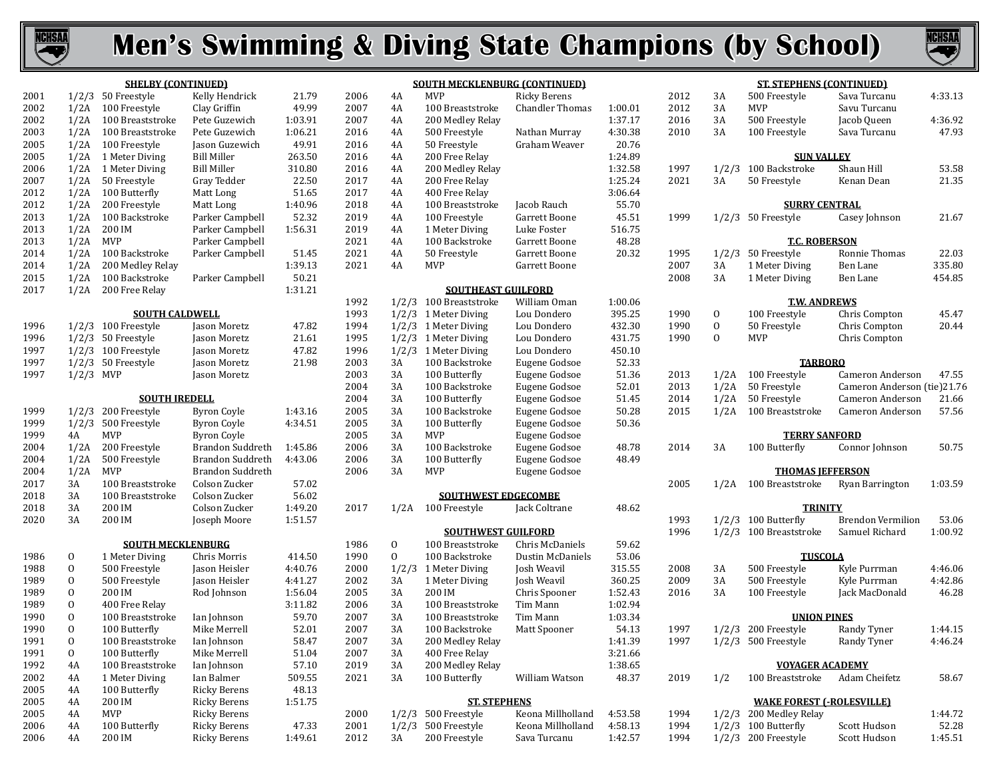



|      |              | <b>SHELBY (CONTINUED)</b> |                      |         |      |              | <b>SOUTH MECKLENBURG (CONTINUED)</b> |                        |         |      |              | <b>ST. STEPHENS (CONTINUED)</b>  |                             |         |
|------|--------------|---------------------------|----------------------|---------|------|--------------|--------------------------------------|------------------------|---------|------|--------------|----------------------------------|-----------------------------|---------|
| 2001 |              | $1/2/3$ 50 Freestyle      | Kelly Hendrick       | 21.79   | 2006 | 4A           | <b>MVP</b>                           | <b>Ricky Berens</b>    |         | 2012 | 3A           | 500 Freestyle                    | Sava Turcanu                | 4:33.13 |
| 2002 |              | 1/2A 100 Freestyle        | Clay Griffin         | 49.99   | 2007 | 4A           | 100 Breaststroke                     | <b>Chandler Thomas</b> | 1:00.01 | 2012 | 3A           | <b>MVP</b>                       | Savu Turcanu                |         |
| 2002 |              | 1/2A 100 Breaststroke     | Pete Guzewich        | 1:03.91 | 2007 | 4A           | 200 Medley Relay                     |                        | 1:37.17 | 2016 | 3A           | 500 Freestyle                    | Jacob Queen                 | 4:36.92 |
| 2003 |              | 1/2A 100 Breaststroke     | Pete Guzewich        | 1:06.21 | 2016 | 4A           | 500 Freestyle                        | Nathan Murray          | 4:30.38 | 2010 | 3A           | 100 Freestyle                    | Sava Turcanu                | 47.93   |
| 2005 | 1/2A         | 100 Freestyle             | Jason Guzewich       | 49.91   | 2016 | 4A           | 50 Freestyle                         | Graham Weaver          | 20.76   |      |              |                                  |                             |         |
| 2005 |              | 1/2A 1 Meter Diving       | <b>Bill Miller</b>   | 263.50  | 2016 | 4A           | 200 Free Relay                       |                        | 1:24.89 |      |              | <b>SUN VALLEY</b>                |                             |         |
| 2006 |              | 1/2A 1 Meter Diving       | <b>Bill Miller</b>   | 310.80  | 2016 | 4A           | 200 Medley Relay                     |                        | 1:32.58 | 1997 |              | 1/2/3 100 Backstroke             | Shaun Hill                  | 53.58   |
| 2007 | 1/2A         | 50 Freestyle              | Gray Tedder          | 22.50   | 2017 | 4A           | 200 Free Relay                       |                        | 1:25.24 | 2021 | 3A           | 50 Freestyle                     | Kenan Dean                  | 21.35   |
| 2012 |              | 1/2A 100 Butterfly        | Matt Long            | 51.65   | 2017 | 4A           | 400 Free Relay                       |                        | 3:06.64 |      |              |                                  |                             |         |
| 2012 | 1/2A         | 200 Freestyle             | Matt Long            | 1:40.96 | 2018 | 4A           | 100 Breaststroke                     | Jacob Rauch            | 55.70   |      |              | <b>SURRY CENTRAL</b>             |                             |         |
| 2013 | 1/2A         | 100 Backstroke            | Parker Campbell      | 52.32   | 2019 | 4A           | 100 Freestyle                        | Garrett Boone          | 45.51   | 1999 |              | 1/2/3 50 Freestyle               | Casey Johnson               | 21.67   |
| 2013 | 1/2A         | 200 IM                    | Parker Campbell      | 1:56.31 | 2019 | 4A           |                                      | Luke Foster            | 516.75  |      |              |                                  |                             |         |
| 2013 | 1/2A         | MVP                       | Parker Campbell      |         | 2021 | 4A           | 1 Meter Diving<br>100 Backstroke     |                        | 48.28   |      |              | <b>T.C. ROBERSON</b>             |                             |         |
|      |              |                           |                      |         |      |              |                                      | Garrett Boone          |         |      |              |                                  |                             |         |
| 2014 | 1/2A         | 100 Backstroke            | Parker Campbell      | 51.45   | 2021 | 4A           | 50 Freestyle                         | Garrett Boone          | 20.32   | 1995 |              | $1/2/3$ 50 Freestyle             | Ronnie Thomas               | 22.03   |
| 2014 | 1/2A         | 200 Medley Relay          |                      | 1:39.13 | 2021 | 4A           | <b>MVP</b>                           | Garrett Boone          |         | 2007 | 3A           | 1 Meter Diving                   | Ben Lane                    | 335.80  |
| 2015 | 1/2A         | 100 Backstroke            | Parker Campbell      | 50.21   |      |              |                                      |                        |         | 2008 | 3A           | 1 Meter Diving                   | Ben Lane                    | 454.85  |
| 2017 | 1/2A         | 200 Free Relay            |                      | 1:31.21 |      |              | <b>SOUTHEAST GUILFORD</b>            |                        |         |      |              |                                  |                             |         |
|      |              |                           |                      |         | 1992 |              | 1/2/3 100 Breaststroke               | William Oman           | 1:00.06 |      |              | <b>T.W. ANDREWS</b>              |                             |         |
|      |              | <b>SOUTH CALDWELL</b>     |                      |         | 1993 |              | 1/2/3 1 Meter Diving                 | Lou Dondero            | 395.25  | 1990 | 0            | 100 Freestyle                    | Chris Compton               | 45.47   |
| 1996 |              | 1/2/3 100 Freestyle       | Jason Moretz         | 47.82   | 1994 |              | 1/2/3 1 Meter Diving                 | Lou Dondero            | 432.30  | 1990 | $\mathbf{0}$ | 50 Freestyle                     | Chris Compton               | 20.44   |
| 1996 |              | $1/2/3$ 50 Freestyle      | Jason Moretz         | 21.61   | 1995 |              | $1/2/3$ 1 Meter Diving               | Lou Dondero            | 431.75  | 1990 | $\Omega$     | MVP                              | Chris Compton               |         |
| 1997 |              | $1/2/3$ 100 Freestyle     | Jason Moretz         | 47.82   | 1996 |              | 1/2/3 1 Meter Diving                 | Lou Dondero            | 450.10  |      |              |                                  |                             |         |
| 1997 |              | $1/2/3$ 50 Freestyle      | Jason Moretz         | 21.98   | 2003 | 3A           | 100 Backstroke                       | Eugene Godsoe          | 52.33   |      |              | <b>TARBORO</b>                   |                             |         |
| 1997 | $1/2/3$ MVP  |                           | Jason Moretz         |         | 2003 | 3A           | 100 Butterfly                        | Eugene Godsoe          | 51.36   | 2013 | 1/2A         | 100 Freestyle                    | Cameron Anderson            | 47.55   |
|      |              |                           |                      |         | 2004 | 3A           | 100 Backstroke                       | Eugene Godsoe          | 52.01   | 2013 | 1/2A         | 50 Freestyle                     | Cameron Anderson (tie)21.76 |         |
|      |              | <b>SOUTH IREDELL</b>      |                      |         | 2004 | 3A           | 100 Butterfly                        | Eugene Godsoe          | 51.45   | 2014 | 1/2A         | 50 Freestyle                     | Cameron Anderson            | 21.66   |
| 1999 |              | 1/2/3 200 Freestyle       | <b>Byron Coyle</b>   | 1:43.16 | 2005 | 3A           | 100 Backstroke                       | Eugene Godsoe          | 50.28   | 2015 |              | 1/2A 100 Breaststroke            | Cameron Anderson            | 57.56   |
| 1999 |              | 1/2/3 500 Freestyle       | <b>Byron Coyle</b>   | 4:34.51 | 2005 | 3A           | 100 Butterfly                        | Eugene Godsoe          | 50.36   |      |              |                                  |                             |         |
| 1999 | 4A           | <b>MVP</b>                | <b>Byron Coyle</b>   |         | 2005 | 3A           | MVP                                  | Eugene Godsoe          |         |      |              | <b>TERRY SANFORD</b>             |                             |         |
| 2004 | 1/2A         | 200 Freestyle             | Brandon Suddreth     | 1:45.86 | 2006 | 3A           | 100 Backstroke                       | Eugene Godsoe          | 48.78   | 2014 | 3A           | 100 Butterfly                    | Connor Johnson              | 50.75   |
| 2004 | 1/2A         | 500 Freestyle             | Brandon Suddreth     | 4:43.06 | 2006 | 3A           | 100 Butterfly                        | Eugene Godsoe          | 48.49   |      |              |                                  |                             |         |
| 2004 | 1/2A         | MVP                       | Brandon Suddreth     |         | 2006 | 3A           | <b>MVP</b>                           | Eugene Godsoe          |         |      |              | <b>THOMAS IEFFERSON</b>          |                             |         |
| 2017 | 3A           | 100 Breaststroke          | Colson Zucker        | 57.02   |      |              |                                      |                        |         | 2005 |              | 1/2A 100 Breaststroke            | Ryan Barrington             | 1:03.59 |
| 2018 | 3A           | 100 Breaststroke          | Colson Zucker        | 56.02   |      |              | <b>SOUTHWEST EDGECOMBE</b>           |                        |         |      |              |                                  |                             |         |
| 2018 | 3A           | 200 IM                    | Colson Zucker        | 1:49.20 | 2017 |              | 1/2A 100 Freestyle                   | Jack Coltrane          | 48.62   |      |              | <b>TRINITY</b>                   |                             |         |
| 2020 | 3A           | 200 IM                    | Joseph Moore         | 1:51.57 |      |              |                                      |                        |         | 1993 |              | $1/2/3$ 100 Butterfly            | <b>Brendon Vermilion</b>    | 53.06   |
|      |              |                           |                      |         |      |              | <b>SOUTHWEST GUILFORD</b>            |                        |         | 1996 |              | 1/2/3 100 Breaststroke           | Samuel Richard              | 1:00.92 |
|      |              | <b>SOUTH MECKLENBURG</b>  |                      |         | 1986 | $\mathbf{0}$ | 100 Breaststroke                     | Chris McDaniels        | 59.62   |      |              |                                  |                             |         |
| 1986 | 0            | 1 Meter Diving            | Chris Morris         | 414.50  | 1990 | $\Omega$     | 100 Backstroke                       | Dustin McDaniels       | 53.06   |      |              | <b>TUSCOLA</b>                   |                             |         |
| 1988 | $\mathbf{0}$ | 500 Freestyle             | <b>Jason Heisler</b> | 4:40.76 | 2000 |              | 1/2/3 1 Meter Diving                 | Josh Weavil            | 315.55  | 2008 | 3A           | 500 Freestyle                    | Kyle Purrman                | 4:46.06 |
| 1989 | $\mathbf{0}$ | 500 Freestyle             | Jason Heisler        | 4:41.27 | 2002 | 3A           | 1 Meter Diving                       | Josh Weavil            | 360.25  | 2009 | 3A           | 500 Freestyle                    | Kyle Purrman                | 4:42.86 |
| 1989 | $\mathbf{0}$ | 200 IM                    | Rod Johnson          | 1:56.04 | 2005 | 3A           | 200 IM                               | Chris Spooner          | 1:52.43 | 2016 | 3A           | 100 Freestyle                    | Jack MacDonald              | 46.28   |
| 1989 | $\mathbf{0}$ | 400 Free Relay            |                      | 3:11.82 | 2006 | 3A           | 100 Breaststroke                     | Tim Mann               | 1:02.94 |      |              |                                  |                             |         |
| 1990 | $\mathbf{0}$ | 100 Breaststroke          | Ian Johnson          | 59.70   | 2007 | 3A           | 100 Breaststroke                     | Tim Mann               | 1:03.34 |      |              | <b>UNION PINES</b>               |                             |         |
| 1990 | $\mathbf{0}$ | 100 Butterfly             | Mike Merrell         | 52.01   | 2007 | 3A           | 100 Backstroke                       | Matt Spooner           | 54.13   | 1997 |              | 1/2/3 200 Freestyle              | Randy Tyner                 | 1:44.15 |
| 1991 | $\mathbf{0}$ | 100 Breaststroke          | Ian Johnson          | 58.47   | 2007 | 3A           | 200 Medley Relay                     |                        | 1:41.39 | 1997 |              | $1/2/3$ 500 Freestyle            | Randy Tyner                 | 4:46.24 |
| 1991 | $\mathbf{0}$ | 100 Butterfly             | Mike Merrell         | 51.04   | 2007 | 3A           | 400 Free Relay                       |                        | 3:21.66 |      |              |                                  |                             |         |
| 1992 | 4A           | 100 Breaststroke          | Ian Johnson          | 57.10   | 2019 | 3A           | 200 Medley Relay                     |                        | 1:38.65 |      |              | <b>VOYAGER ACADEMY</b>           |                             |         |
| 2002 | 4A           | 1 Meter Diving            | Ian Balmer           | 509.55  | 2021 | 3A           | 100 Butterfly                        | William Watson         | 48.37   | 2019 | 1/2          | 100 Breaststroke                 | Adam Cheifetz               | 58.67   |
| 2005 | 4A           | 100 Butterfly             | Ricky Berens         | 48.13   |      |              |                                      |                        |         |      |              |                                  |                             |         |
| 2005 | 4A           | 200 IM                    | <b>Ricky Berens</b>  | 1:51.75 |      |              | <b>ST. STEPHENS</b>                  |                        |         |      |              | <b>WAKE FOREST (-ROLESVILLE)</b> |                             |         |
| 2005 | 4A           | MVP                       | <b>Ricky Berens</b>  |         | 2000 |              | $1/2/3$ 500 Freestyle                | Keona Millholland      | 4:53.58 | 1994 |              | 1/2/3 200 Medley Relay           |                             | 1:44.72 |
| 2006 | 4A           | 100 Butterfly             | <b>Ricky Berens</b>  | 47.33   | 2001 |              | $1/2/3$ 500 Freestyle                | Keona Millholland      | 4:58.13 | 1994 |              | $1/2/3$ 100 Butterfly            | Scott Hudson                | 52.28   |
| 2006 | 4A           | 200 IM                    | <b>Ricky Berens</b>  | 1:49.61 | 2012 | 3A           | 200 Freestyle                        | Sava Turcanu           | 1:42.57 | 1994 |              | 1/2/3 200 Freestyle              | Scott Hudson                | 1:45.51 |
|      |              |                           |                      |         |      |              |                                      |                        |         |      |              |                                  |                             |         |